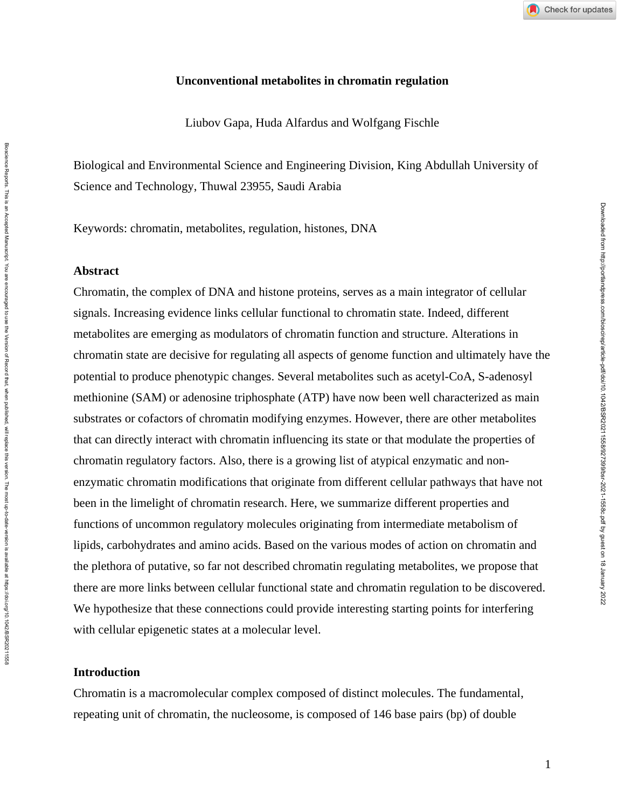### **Unconventional metabolites in chromatin regulation**

Liubov Gapa, Huda Alfardus and Wolfgang Fischle

Biological and Environmental Science and Engineering Division, King Abdullah University of Science and Technology, Thuwal 23955, Saudi Arabia

Keywords: chromatin, metabolites, regulation, histones, DNA

#### **Abstract**

Bloscience Reports. This is an Accepted Manuscript. You are encouraged to use the Version of Persion of Record that, when published, will replace this version. The most up-to-date-version is available at https://doi.07/10.

Bioscience Reports. This is an Accepted Manuscript. You are encourged to use the Version of Record that, when published, will replace this version. The most up-to-date-version is available at https://doi.og/10.1042/BSR2021

Chromatin, the complex of DNA and histone proteins, serves as a main integrator of cellular signals. Increasing evidence links cellular functional to chromatin state. Indeed, different metabolites are emerging as modulators of chromatin function and structure. Alterations in chromatin state are decisive for regulating all aspects of genome function and ultimately have the potential to produce phenotypic changes. Several metabolites such as acetyl-CoA, S-adenosyl methionine (SAM) or adenosine triphosphate (ATP) have now been well characterized as main substrates or cofactors of chromatin modifying enzymes. However, there are other metabolites that can directly interact with chromatin influencing its state or that modulate the properties of chromatin regulatory factors. Also, there is a growing list of atypical enzymatic and nonenzymatic chromatin modifications that originate from different cellular pathways that have not been in the limelight of chromatin research. Here, we summarize different properties and functions of uncommon regulatory molecules originating from intermediate metabolism of lipids, carbohydrates and amino acids. Based on the various modes of action on chromatin and the plethora of putative, so far not described chromatin regulating metabolites, we propose that there are more links between cellular functional state and chromatin regulation to be discovered. We hypothesize that these connections could provide interesting starting points for interfering with cellular epigenetic states at a molecular level.

#### **Introduction**

Chromatin is a macromolecular complex composed of distinct molecules. The fundamental, repeating unit of chromatin, the nucleosome, is composed of 146 base pairs (bp) of double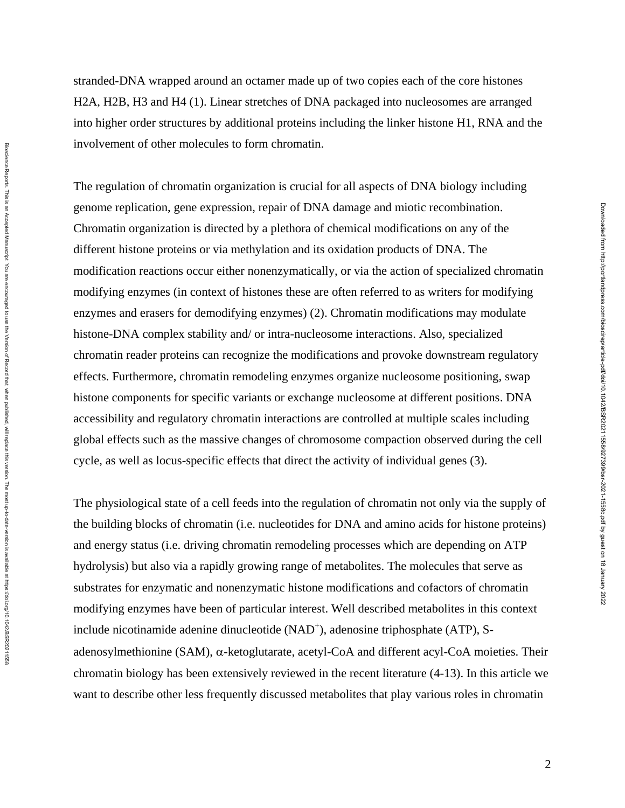stranded-DNA wrapped around an octamer made up of two copies each of the core histones H2A, H2B, H3 and H4 (1). Linear stretches of DNA packaged into nucleosomes are arranged into higher order structures by additional proteins including the linker histone H1, RNA and the involvement of other molecules to form chromatin.

The regulation of chromatin organization is crucial for all aspects of DNA biology including genome replication, gene expression, repair of DNA damage and miotic recombination. Chromatin organization is directed by a plethora of chemical modifications on any of the different histone proteins or via methylation and its oxidation products of DNA. The modification reactions occur either nonenzymatically, or via the action of specialized chromatin modifying enzymes (in context of histones these are often referred to as writers for modifying enzymes and erasers for demodifying enzymes) (2). Chromatin modifications may modulate histone-DNA complex stability and/ or intra-nucleosome interactions. Also, specialized chromatin reader proteins can recognize the modifications and provoke downstream regulatory effects. Furthermore, chromatin remodeling enzymes organize nucleosome positioning, swap histone components for specific variants or exchange nucleosome at different positions. DNA accessibility and regulatory chromatin interactions are controlled at multiple scales including global effects such as the massive changes of chromosome compaction observed during the cell cycle, as well as locus-specific effects that direct the activity of individual genes (3).

The physiological state of a cell feeds into the regulation of chromatin not only via the supply of the building blocks of chromatin (i.e. nucleotides for DNA and amino acids for histone proteins) and energy status (i.e. driving chromatin remodeling processes which are depending on ATP hydrolysis) but also via a rapidly growing range of metabolites. The molecules that serve as substrates for enzymatic and nonenzymatic histone modifications and cofactors of chromatin modifying enzymes have been of particular interest. Well described metabolites in this context include nicotinamide adenine dinucleotide (NAD<sup>+</sup>), adenosine triphosphate (ATP), Sadenosylmethionine (SAM),  $\alpha$ -ketoglutarate, acetyl-CoA and different acyl-CoA moieties. Their chromatin biology has been extensively reviewed in the recent literature (4-13). In this article we want to describe other less frequently discussed metabolites that play various roles in chromatin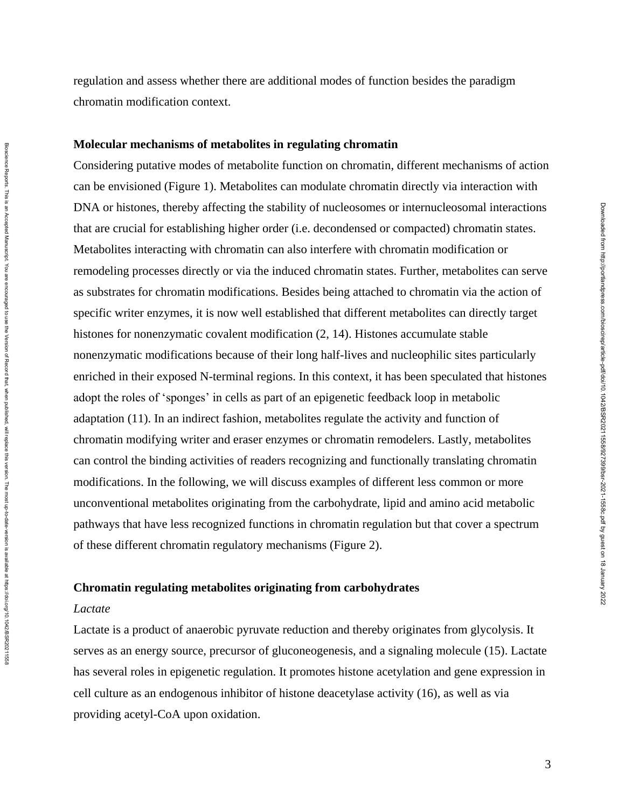regulation and assess whether there are additional modes of function besides the paradigm chromatin modification context.

#### **Molecular mechanisms of metabolites in regulating chromatin**

Considering putative modes of metabolite function on chromatin, different mechanisms of action can be envisioned (Figure 1). Metabolites can modulate chromatin directly via interaction with DNA or histones, thereby affecting the stability of nucleosomes or internucleosomal interactions that are crucial for establishing higher order (i.e. decondensed or compacted) chromatin states. Metabolites interacting with chromatin can also interfere with chromatin modification or remodeling processes directly or via the induced chromatin states. Further, metabolites can serve as substrates for chromatin modifications. Besides being attached to chromatin via the action of specific writer enzymes, it is now well established that different metabolites can directly target histones for nonenzymatic covalent modification (2, 14). Histones accumulate stable nonenzymatic modifications because of their long half-lives and nucleophilic sites particularly enriched in their exposed N-terminal regions. In this context, it has been speculated that histones adopt the roles of 'sponges' in cells as part of an epigenetic feedback loop in metabolic adaptation (11). In an indirect fashion, metabolites regulate the activity and function of chromatin modifying writer and eraser enzymes or chromatin remodelers. Lastly, metabolites can control the binding activities of readers recognizing and functionally translating chromatin modifications. In the following, we will discuss examples of different less common or more unconventional metabolites originating from the carbohydrate, lipid and amino acid metabolic pathways that have less recognized functions in chromatin regulation but that cover a spectrum of these different chromatin regulatory mechanisms (Figure 2).

## **Chromatin regulating metabolites originating from carbohydrates**

#### *Lactate*

Lactate is a product of anaerobic pyruvate reduction and thereby originates from glycolysis. It serves as an energy source, precursor of gluconeogenesis, and a signaling molecule (15). Lactate has several roles in epigenetic regulation. It promotes histone acetylation and gene expression in cell culture as an endogenous inhibitor of histone deacetylase activity (16), as well as via providing acetyl-CoA upon oxidation.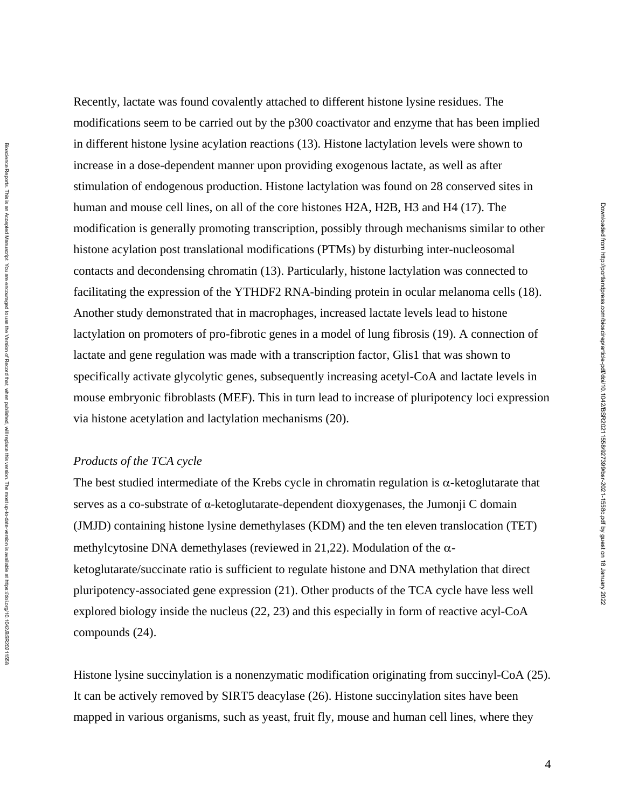Recently, lactate was found covalently attached to different histone lysine residues. The modifications seem to be carried out by the p300 coactivator and enzyme that has been implied in different histone lysine acylation reactions (13). Histone lactylation levels were shown to increase in a dose-dependent manner upon providing exogenous lactate, as well as after stimulation of endogenous production. Histone lactylation was found on 28 conserved sites in human and mouse cell lines, on all of the core histones H2A, H2B, H3 and H4 (17). The modification is generally promoting transcription, possibly through mechanisms similar to other histone acylation post translational modifications (PTMs) by disturbing inter-nucleosomal contacts and decondensing chromatin (13). Particularly, histone lactylation was connected to facilitating the expression of the YTHDF2 RNA-binding protein in ocular melanoma cells (18). Another study demonstrated that in macrophages, increased lactate levels lead to histone lactylation on promoters of pro-fibrotic genes in a model of lung fibrosis (19). A connection of lactate and gene regulation was made with a transcription factor, Glis1 that was shown to specifically activate glycolytic genes, subsequently increasing acetyl-CoA and lactate levels in mouse embryonic fibroblasts (MEF). This in turn lead to increase of pluripotency loci expression via histone acetylation and lactylation mechanisms (20).

# *Products of the TCA cycle*

The best studied intermediate of the Krebs cycle in chromatin regulation is  $\alpha$ -ketoglutarate that serves as a co-substrate of α-ketoglutarate-dependent dioxygenases, the Jumonji C domain (JMJD) containing histone lysine demethylases (KDM) and the ten eleven translocation (TET) methylcytosine DNA demethylases (reviewed in 21,22). Modulation of the  $\alpha$ ketoglutarate/succinate ratio is sufficient to regulate histone and DNA methylation that direct pluripotency-associated gene expression (21). Other products of the TCA cycle have less well explored biology inside the nucleus (22, 23) and this especially in form of reactive acyl-CoA compounds (24).

Histone lysine succinylation is a nonenzymatic modification originating from succinyl-CoA (25). It can be actively removed by SIRT5 deacylase (26). Histone succinylation sites have been mapped in various organisms, such as yeast, fruit fly, mouse and human cell lines, where they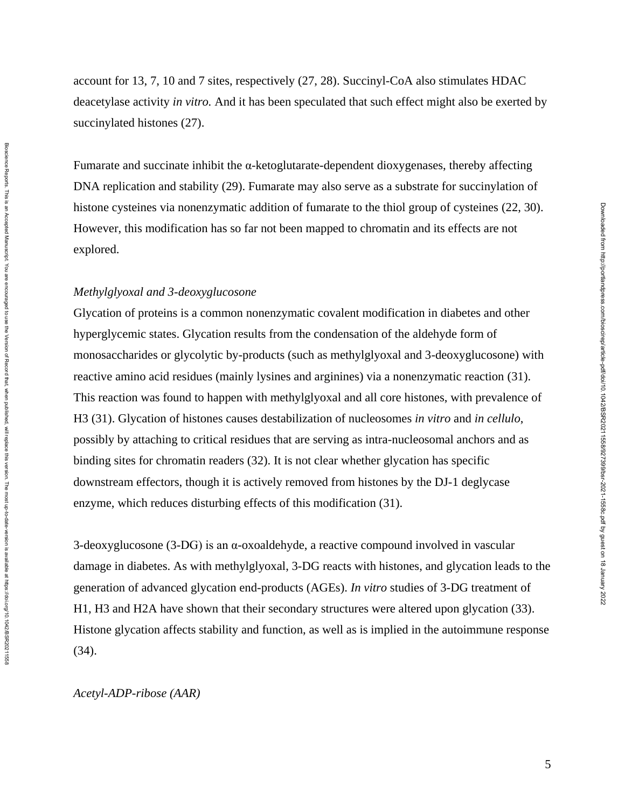account for 13, 7, 10 and 7 sites, respectively (27, 28). Succinyl-CoA also stimulates HDAC deacetylase activity *in vitro.* And it has been speculated that such effect might also be exerted by succinylated histones (27).

Fumarate and succinate inhibit the  $\alpha$ -ketoglutarate-dependent dioxygenases, thereby affecting DNA replication and stability (29). Fumarate may also serve as a substrate for succinylation of histone cysteines via nonenzymatic addition of fumarate to the thiol group of cysteines (22, 30). However, this modification has so far not been mapped to chromatin and its effects are not explored.

## *Methylglyoxal and 3-deoxyglucosone*

Biosdence Repots an Accepted Manuscript. You are encouraged to use the Version of Record that, when published, will replace this version. The most up-to-date-version is available at https://0.1042/BSR20211556 Bloscience Reports. This is an Accepted Manuscript. You are encouraged to use the Version of Persion of Record that, when published, will replace this version. The most up-to-date-version is available at https://doi.07/10.

Glycation of proteins is a common nonenzymatic covalent modification in diabetes and other hyperglycemic states. Glycation results from the condensation of the aldehyde form of monosaccharides or glycolytic by-products (such as methylglyoxal and 3-deoxyglucosone) with reactive amino acid residues (mainly lysines and arginines) via a nonenzymatic reaction (31). This reaction was found to happen with methylglyoxal and all core histones, with prevalence of H3 (31). Glycation of histones causes destabilization of nucleosomes *in vitro* and *in cellulo*, possibly by attaching to critical residues that are serving as intra-nucleosomal anchors and as binding sites for chromatin readers (32). It is not clear whether glycation has specific downstream effectors, though it is actively removed from histones by the DJ-1 deglycase enzyme, which reduces disturbing effects of this modification (31).

3-deoxyglucosone (3-DG) is an α-oxoaldehyde, a reactive compound involved in vascular damage in diabetes. As with methylglyoxal, 3-DG reacts with histones, and glycation leads to the generation of advanced glycation end-products (AGEs). *In vitro* studies of 3-DG treatment of H1, H3 and H2A have shown that their secondary structures were altered upon glycation (33). Histone glycation affects stability and function, as well as is implied in the autoimmune response (34).

#### *Acetyl-ADP-ribose (AAR)*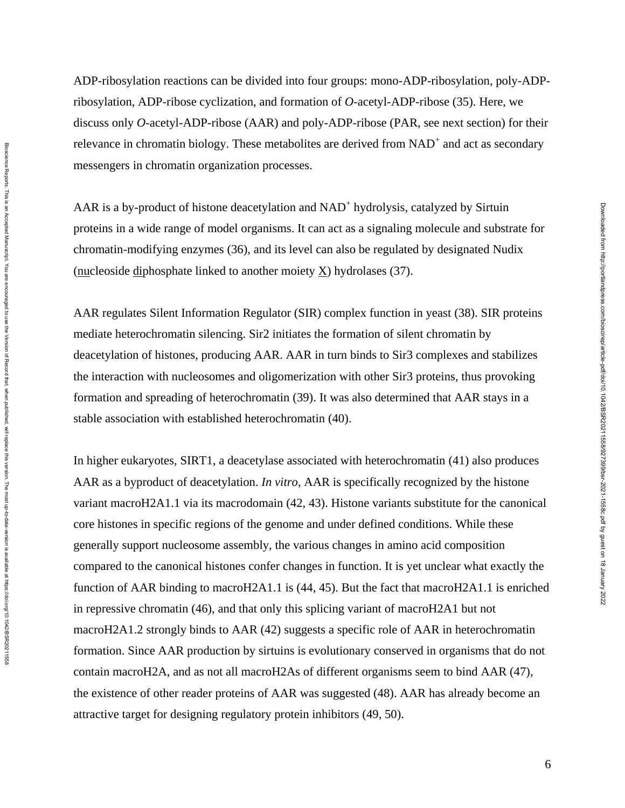ADP-ribosylation reactions can be divided into four groups: mono-ADP-ribosylation, poly-ADPribosylation, ADP-ribose cyclization, and formation of *O*-acetyl-ADP-ribose (35). Here, we discuss only *O*-acetyl-ADP-ribose (AAR) and poly-ADP-ribose (PAR, see next section) for their relevance in chromatin biology. These metabolites are derived from  $NAD^+$  and act as secondary messengers in chromatin organization processes.

AAR is a by-product of histone deacetylation and NAD<sup>+</sup> hydrolysis, catalyzed by Sirtuin proteins in a wide range of model organisms. It can act as a signaling molecule and substrate for chromatin-modifying enzymes (36), and its level can also be regulated by designated Nudix (nucleoside diphosphate linked to another moiety X) hydrolases (37).

AAR regulates Silent Information Regulator (SIR) complex function in yeast (38). SIR proteins mediate heterochromatin silencing. Sir2 initiates the formation of silent chromatin by deacetylation of histones, producing AAR. AAR in turn binds to Sir3 complexes and stabilizes the interaction with nucleosomes and oligomerization with other Sir3 proteins, thus provoking formation and spreading of heterochromatin (39). It was also determined that AAR stays in a stable association with established heterochromatin (40).

In higher eukaryotes, SIRT1, a deacetylase associated with heterochromatin (41) also produces AAR as a byproduct of deacetylation. *In vitro*, AAR is specifically recognized by the histone variant macroH2A1.1 via its macrodomain (42, 43). Histone variants substitute for the canonical core histones in specific regions of the genome and under defined conditions. While these generally support nucleosome assembly, the various changes in amino acid composition compared to the canonical histones confer changes in function. It is yet unclear what exactly the function of AAR binding to macroH2A1.1 is (44, 45). But the fact that macroH2A1.1 is enriched in repressive chromatin (46), and that only this splicing variant of macroH2A1 but not macroH2A1.2 strongly binds to AAR (42) suggests a specific role of AAR in heterochromatin formation. Since AAR production by sirtuins is evolutionary conserved in organisms that do not contain macroH2A, and as not all macroH2As of different organisms seem to bind AAR (47), the existence of other reader proteins of AAR was suggested (48). AAR has already become an attractive target for designing regulatory protein inhibitors (49, 50).

Downloaded from http://portlandpress.com/bioscirep/article-pdf/doi/10.1042/BSR20211558/927399/bsr-2021-1558c.pdf by guest on 18 January 2022

Downloaded from http://portlandpress.com/bioscirep/article-pdf/doi/10.1042/BSR20211558/927399/bsr-2021-1558c.pdf by guest on 18 January 2022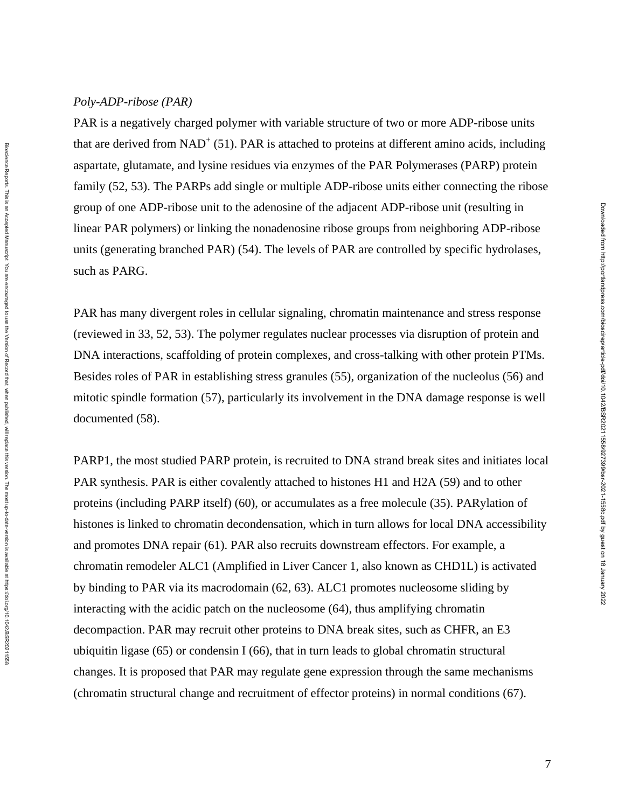## *Poly-ADP-ribose (PAR)*

PAR is a negatively charged polymer with variable structure of two or more ADP-ribose units that are derived from  $NAD^+$  (51). PAR is attached to proteins at different amino acids, including aspartate, glutamate, and lysine residues via enzymes of the PAR Polymerases (PARP) protein family (52, 53). The PARPs add single or multiple ADP-ribose units either connecting the ribose group of one ADP-ribose unit to the adenosine of the adjacent ADP-ribose unit (resulting in linear PAR polymers) or linking the nonadenosine ribose groups from neighboring ADP-ribose units (generating branched PAR) (54). The levels of PAR are controlled by specific hydrolases, such as PARG.

PAR has many divergent roles in cellular signaling, chromatin maintenance and stress response (reviewed in 33, 52, 53). The polymer regulates nuclear processes via disruption of protein and DNA interactions, scaffolding of protein complexes, and cross-talking with other protein PTMs. Besides roles of PAR in establishing stress granules (55), organization of the nucleolus (56) and mitotic spindle formation (57), particularly its involvement in the DNA damage response is well documented (58).

PARP1, the most studied PARP protein, is recruited to DNA strand break sites and initiates local PAR synthesis. PAR is either covalently attached to histones H1 and H2A (59) and to other proteins (including PARP itself) (60), or accumulates as a free molecule (35). PARylation of histones is linked to chromatin decondensation, which in turn allows for local DNA accessibility and promotes DNA repair (61). PAR also recruits downstream effectors. For example, a chromatin remodeler ALC1 (Amplified in Liver Cancer 1, also known as CHD1L) is activated by binding to PAR via its macrodomain (62, 63). ALC1 promotes nucleosome sliding by interacting with the acidic patch on the nucleosome (64), thus amplifying chromatin decompaction. PAR may recruit other proteins to DNA break sites, such as CHFR, an E3 ubiquitin ligase (65) or condensin I (66), that in turn leads to global chromatin structural changes. It is proposed that PAR may regulate gene expression through the same mechanisms (chromatin structural change and recruitment of effector proteins) in normal conditions (67).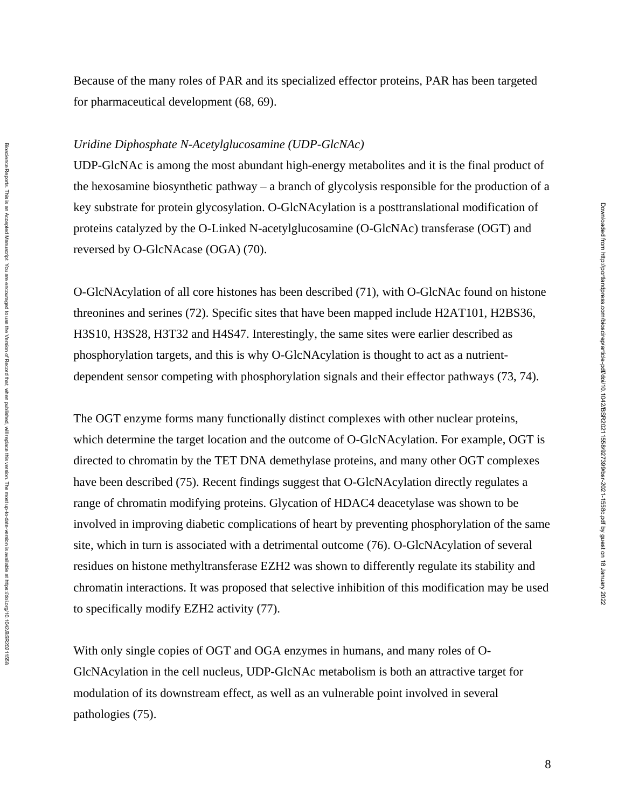Because of the many roles of PAR and its specialized effector proteins, PAR has been targeted for pharmaceutical development (68, 69).

#### *Uridine Diphosphate N-Acetylglucosamine (UDP-GlcNAc)*

UDP-GlcNAc is among the most abundant high-energy metabolites and it is the final product of the hexosamine biosynthetic pathway – a branch of glycolysis responsible for the production of a key substrate for protein glycosylation. O-GlcNAcylation is a posttranslational modification of proteins catalyzed by the O-Linked N-acetylglucosamine (O-GlcNAc) transferase (OGT) and reversed by O-GlcNAcase (OGA) (70).

O-GlcNAcylation of all core histones has been described (71), with O-GlcNAc found on histone threonines and serines (72). Specific sites that have been mapped include H2AT101, H2BS36, H3S10, H3S28, H3T32 and H4S47. Interestingly, the same sites were earlier described as phosphorylation targets, and this is why O-GlcNAcylation is thought to act as a nutrientdependent sensor competing with phosphorylation signals and their effector pathways (73, 74).

The OGT enzyme forms many functionally distinct complexes with other nuclear proteins, which determine the target location and the outcome of O-GlcNAcylation. For example, OGT is directed to chromatin by the TET DNA demethylase proteins, and many other OGT complexes have been described (75). Recent findings suggest that O-GlcNAcylation directly regulates a range of chromatin modifying proteins. Glycation of HDAC4 deacetylase was shown to be involved in improving diabetic complications of heart by preventing phosphorylation of the same site, which in turn is associated with a detrimental outcome (76). O-GlcNAcylation of several residues on histone methyltransferase EZH2 was shown to differently regulate its stability and chromatin interactions. It was proposed that selective inhibition of this modification may be used to specifically modify EZH2 activity (77).

With only single copies of OGT and OGA enzymes in humans, and many roles of O-GlcNAcylation in the cell nucleus, UDP-GlcNAc metabolism is both an attractive target for modulation of its downstream effect, as well as an vulnerable point involved in several pathologies (75).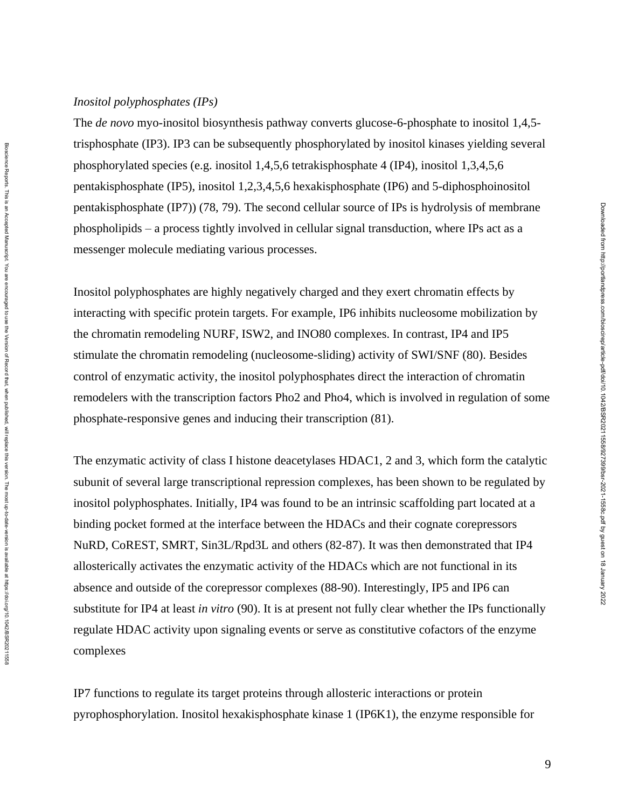## *Inositol polyphosphates (IPs)*

The *de novo* myo-inositol biosynthesis pathway converts glucose-6-phosphate to inositol 1,4,5 trisphosphate (IP3). IP3 can be subsequently phosphorylated by inositol kinases yielding several phosphorylated species (e.g. inositol 1,4,5,6 tetrakisphosphate 4 (IP4), inositol 1,3,4,5,6 pentakisphosphate (IP5), inositol 1,2,3,4,5,6 hexakisphosphate (IP6) and 5-diphosphoinositol pentakisphosphate (IP7)) (78, 79). The second cellular source of IPs is hydrolysis of membrane phospholipids – a process tightly involved in cellular signal transduction, where IPs act as a messenger molecule mediating various processes.

Inositol polyphosphates are highly negatively charged and they exert chromatin effects by interacting with specific protein targets. For example, IP6 inhibits nucleosome mobilization by the chromatin remodeling NURF, ISW2, and INO80 complexes. In contrast, IP4 and IP5 stimulate the chromatin remodeling (nucleosome-sliding) activity of SWI/SNF (80). Besides control of enzymatic activity, the inositol polyphosphates direct the interaction of chromatin remodelers with the transcription factors Pho2 and Pho4, which is involved in regulation of some phosphate-responsive genes and inducing their transcription (81).

The enzymatic activity of class I histone deacetylases HDAC1, 2 and 3, which form the catalytic subunit of several large transcriptional repression complexes, has been shown to be regulated by inositol polyphosphates. Initially, IP4 was found to be an intrinsic scaffolding part located at a binding pocket formed at the interface between the HDACs and their cognate corepressors NuRD, CoREST, SMRT, Sin3L/Rpd3L and others (82-87). It was then demonstrated that IP4 allosterically activates the enzymatic activity of the HDACs which are not functional in its absence and outside of the corepressor complexes (88-90). Interestingly, IP5 and IP6 can substitute for IP4 at least *in vitro* (90). It is at present not fully clear whether the IPs functionally regulate HDAC activity upon signaling events or serve as constitutive cofactors of the enzyme complexes

IP7 functions to regulate its target proteins through allosteric interactions or protein pyrophosphorylation. Inositol hexakisphosphate kinase 1 (IP6K1), the enzyme responsible for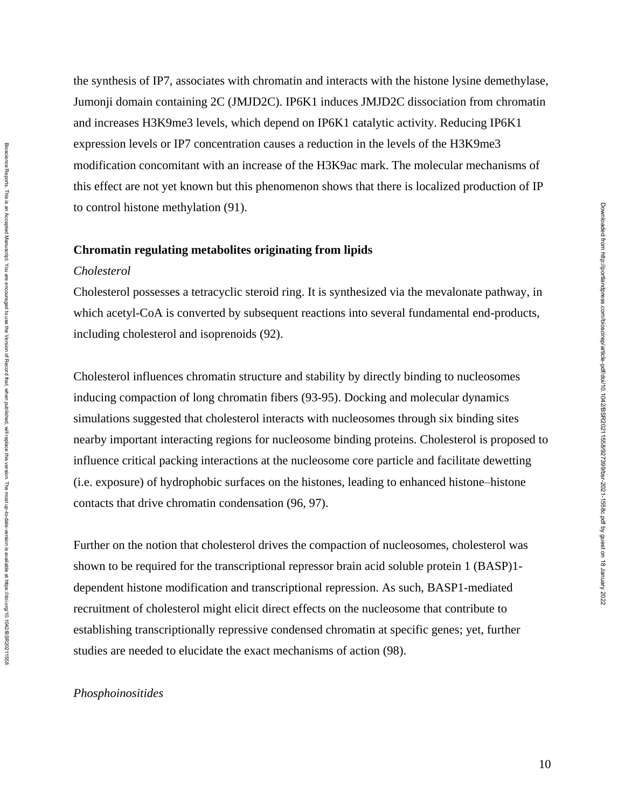the synthesis of IP7, associates with chromatin and interacts with the histone lysine demethylase, Jumonji domain containing 2C (JMJD2C). IP6K1 induces JMJD2C dissociation from chromatin and increases H3K9me3 levels, which depend on IP6K1 catalytic activity. Reducing IP6K1 expression levels or IP7 concentration causes a reduction in the levels of the H3K9me3 modification concomitant with an increase of the H3K9ac mark. The molecular mechanisms of this effect are not yet known but this phenomenon shows that there is localized production of IP to control histone methylation (91).

#### **Chromatin regulating metabolites originating from lipids**

## *Cholesterol*

Cholesterol possesses a tetracyclic steroid ring. It is synthesized via the mevalonate pathway, in which acetyl-CoA is converted by subsequent reactions into several fundamental end-products, including cholesterol and isoprenoids (92).

Cholesterol influences chromatin structure and stability by directly binding to nucleosomes inducing compaction of long chromatin fibers (93-95). Docking and molecular dynamics simulations suggested that cholesterol interacts with nucleosomes through six binding sites nearby important interacting regions for nucleosome binding proteins. Cholesterol is proposed to influence critical packing interactions at the nucleosome core particle and facilitate dewetting (i.e. exposure) of hydrophobic surfaces on the histones, leading to enhanced histone–histone contacts that drive chromatin condensation (96, 97).

Further on the notion that cholesterol drives the compaction of nucleosomes, cholesterol was shown to be required for the transcriptional repressor brain acid soluble protein 1 (BASP)1 dependent histone modification and transcriptional repression. As such, BASP1-mediated recruitment of cholesterol might elicit direct effects on the nucleosome that contribute to establishing transcriptionally repressive condensed chromatin at specific genes; yet, further studies are needed to elucidate the exact mechanisms of action (98).

#### *Phosphoinositides*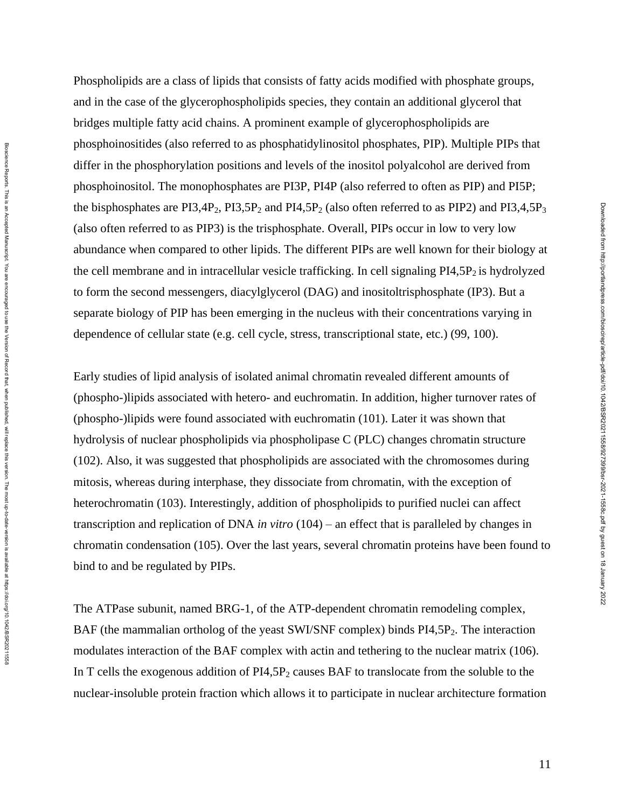Phospholipids are a class of lipids that consists of fatty acids modified with phosphate groups, and in the case of the glycerophospholipids species, they contain an additional glycerol that bridges multiple fatty acid chains. A prominent example of glycerophospholipids are phosphoinositides (also referred to as phosphatidylinositol phosphates, PIP). Multiple PIPs that differ in the phosphorylation positions and levels of the inositol polyalcohol are derived from phosphoinositol. The monophosphates are PI3P, PI4P (also referred to often as PIP) and PI5P; the bisphosphates are  $PI3,4P_2$ ,  $PI3,5P_2$  and  $PI4,5P_2$  (also often referred to as  $PIP2$ ) and  $PI3,4,5P_3$ (also often referred to as PIP3) is the trisphosphate. Overall, PIPs occur in low to very low abundance when compared to other lipids. The different PIPs are well known for their biology at the cell membrane and in intracellular vesicle trafficking. In cell signaling  $PI4,5P_2$  is hydrolyzed to form the second messengers, diacylglycerol (DAG) and inositoltrisphosphate (IP3). But a separate biology of PIP has been emerging in the nucleus with their concentrations varying in dependence of cellular state (e.g. cell cycle, stress, transcriptional state, etc.) (99, 100).

Early studies of lipid analysis of isolated animal chromatin revealed different amounts of (phospho-)lipids associated with hetero- and euchromatin. In addition, higher turnover rates of (phospho-)lipids were found associated with euchromatin (101). Later it was shown that hydrolysis of nuclear phospholipids via phospholipase C (PLC) changes chromatin structure (102). Also, it was suggested that phospholipids are associated with the chromosomes during mitosis, whereas during interphase, they dissociate from chromatin, with the exception of heterochromatin (103). Interestingly, addition of phospholipids to purified nuclei can affect transcription and replication of DNA *in vitro* (104) – an effect that is paralleled by changes in chromatin condensation (105). Over the last years, several chromatin proteins have been found to bind to and be regulated by PIPs.

Bioscience Reports. This is an Accepted Manuscript. You are encourged to use the Version of Record that, when published, will replace this version. The most up-to-date-version is available at https://doi.og/10.1042/BSR2021 Bloscience Reports. This is an Accepted Manuscript. You are encouraged to use the Version of Persion of Record that, when published, will replace this version. The most up-to-date-version is available at https://doi.07/10.

The ATPase subunit, named BRG-1, of the ATP-dependent chromatin remodeling complex, BAF (the mammalian ortholog of the yeast SWI/SNF complex) binds PI4,5P<sub>2</sub>. The interaction modulates interaction of the BAF complex with actin and tethering to the nuclear matrix (106). In T cells the exogenous addition of  $PI4,5P_2$  causes BAF to translocate from the soluble to the nuclear-insoluble protein fraction which allows it to participate in nuclear architecture formation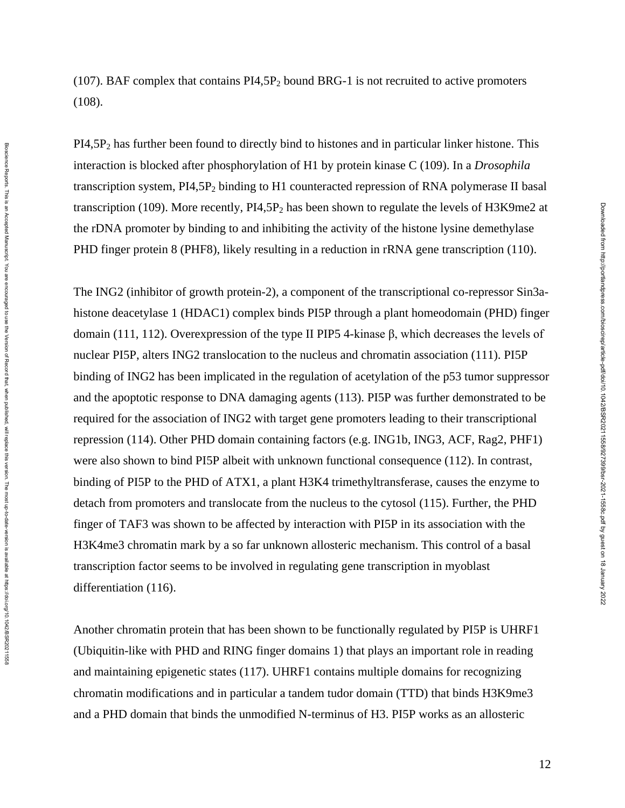PI4,5P<sup>2</sup> has further been found to directly bind to histones and in particular linker histone. This interaction is blocked after phosphorylation of H1 by protein kinase C (109). In a *Drosophila* transcription system, PI4,5P<sub>2</sub> binding to H1 counteracted repression of RNA polymerase II basal transcription (109). More recently,  $PI4,5P_2$  has been shown to regulate the levels of H3K9me2 at the rDNA promoter by binding to and inhibiting the activity of the histone lysine [demethylase](https://www.sciencedirect.com/topics/biochemistry-genetics-and-molecular-biology/demethylase) PHD finger protein 8 (PHF8), likely resulting in a reduction in rRNA gene transcription (110).

The ING2 (inhibitor of growth protein-2), a component of the transcriptional co-repressor Sin3ahistone deacetylase 1 (HDAC1) complex binds PI5P through a plant homeodomain (PHD) finger domain (111, 112). Overexpression of the type II PIP5 4-kinase β, which decreases the levels of nuclear PI5P, alters ING2 translocation to the nucleus and chromatin association (111). PI5P binding of ING2 has been implicated in the regulation of acetylation of the p53 tumor suppressor and the apoptotic response to DNA damaging agents (113). PI5P was further demonstrated to be required for the association of ING2 with target gene promoters leading to their transcriptional repression (114). Other PHD domain containing factors (e.g. ING1b, ING3, ACF, Rag2, PHF1) were also shown to bind PI5P albeit with unknown functional consequence (112). In contrast, binding of PI5P to the PHD of ATX1, a plant H3K4 trimethyltransferase, causes the enzyme to detach from promoters and translocate from the nucleus to the cytosol (115). Further, the PHD finger of TAF3 was shown to be affected by interaction with PI5P in its association with the H3K4me3 chromatin mark by a so far unknown allosteric mechanism. This control of a basal transcription factor seems to be involved in regulating gene transcription in myoblast differentiation (116).

Another chromatin protein that has been shown to be functionally regulated by PI5P is UHRF1 (Ubiquitin-like with PHD and RING finger domains 1) that plays an important role in reading and maintaining epigenetic states (117). UHRF1 contains multiple domains for recognizing chromatin modifications and in particular a tandem tudor domain (TTD) that binds H3K9me3 and a PHD domain that binds the unmodified N-terminus of H3. PI5P works as an allosteric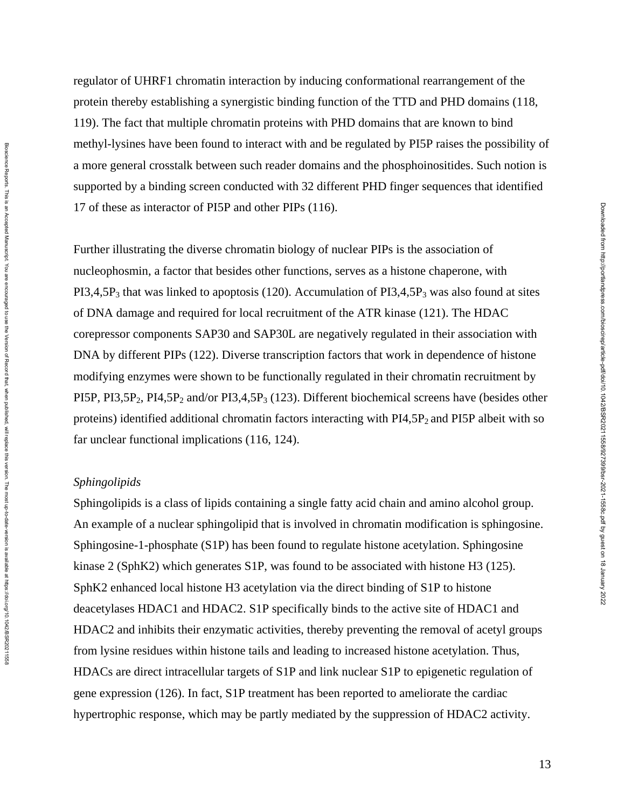regulator of UHRF1 chromatin interaction by inducing conformational rearrangement of the protein thereby establishing a synergistic binding function of the TTD and PHD domains (118, 119). The fact that multiple chromatin proteins with PHD domains that are known to bind methyl-lysines have been found to interact with and be regulated by PI5P raises the possibility of a more general crosstalk between such reader domains and the phosphoinositides. Such notion is supported by a binding screen conducted with 32 different PHD finger sequences that identified 17 of these as interactor of PI5P and other PIPs (116).

Further illustrating the diverse chromatin biology of nuclear PIPs is the association of nucleophosmin, a factor that besides other functions, serves as a histone chaperone, with  $PI3,4,5P_3$  that was linked to apoptosis (120). Accumulation of  $PI3,4,5P_3$  was also found at sites of DNA damage and required for local recruitment of the ATR kinase (121). The HDAC corepressor components SAP30 and SAP30L are negatively regulated in their association with DNA by different PIPs (122). Diverse transcription factors that work in dependence of histone modifying enzymes were shown to be functionally regulated in their chromatin recruitment by PI5P, PI3,5P<sub>2</sub>, PI4,5P<sub>2</sub> and/or PI3,4,5P<sub>3</sub> (123). Different biochemical screens have (besides other proteins) identified additional chromatin factors interacting with  $PI4,5P_2$  and PI5P albeit with so far unclear functional implications (116, 124).

#### *Sphingolipids*

Sphingolipids is a class of lipids containing a single fatty acid chain and amino alcohol group. An example of a nuclear sphingolipid that is involved in chromatin modification is sphingosine. Sphingosine-1-phosphate (S1P) has been found to regulate histone acetylation. Sphingosine kinase 2 (SphK2) which generates S1P, was found to be associated with histone H3 (125). SphK2 enhanced local histone H3 acetylation via the direct binding of S1P to histone deacetylases HDAC1 and HDAC2. S1P specifically binds to the active site of HDAC1 and HDAC2 and inhibits their enzymatic activities, thereby preventing the removal of acetyl groups from lysine residues within histone tails and leading to increased histone acetylation. Thus, HDACs are direct intracellular targets of S1P and link nuclear S1P to epigenetic regulation of gene expression (126). In fact, S1P treatment has been reported to ameliorate the cardiac hypertrophic response, which may be partly mediated by the suppression of HDAC2 activity.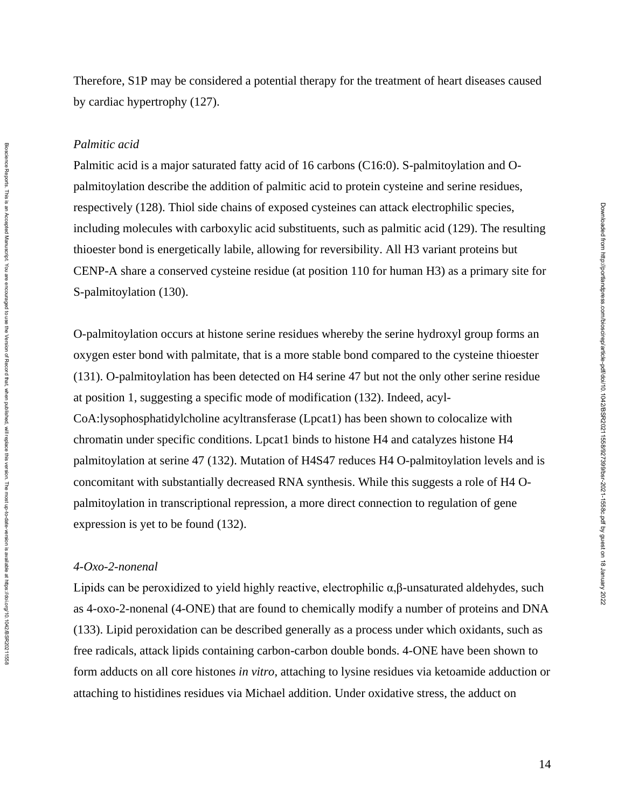Therefore, S1P may be considered a potential therapy for the treatment of heart diseases caused by cardiac hypertrophy (127).

#### *Palmitic acid*

Palmitic acid is a major saturated fatty acid of 16 carbons (C16:0). S-palmitoylation and Opalmitoylation describe the addition of palmitic acid to protein cysteine and serine residues, respectively (128). Thiol side chains of exposed cysteines can attack electrophilic species, including molecules with carboxylic acid substituents, such as palmitic acid (129). The resulting thioester bond is energetically labile, allowing for reversibility. All H3 variant proteins but CENP-A share a conserved cysteine residue (at position 110 for human H3) as a primary site for S-palmitoylation (130).

O-palmitoylation occurs at histone serine residues whereby the serine hydroxyl group forms an oxygen ester bond with palmitate, that is a more stable bond compared to the cysteine thioester (131). O-palmitoylation has been detected on H4 serine 47 but not the only other serine residue at position 1, suggesting a specific mode of modification (132). Indeed, acyl-CoA:lysophosphatidylcholine acyltransferase (Lpcat1) has been shown to colocalize with chromatin under specific conditions. Lpcat1 binds to histone H4 and catalyzes histone H4 palmitoylation at serine 47 (132). Mutation of H4S47 reduces H4 O-palmitoylation levels and is concomitant with substantially decreased RNA synthesis. While this suggests a role of H4 Opalmitoylation in transcriptional repression, a more direct connection to regulation of gene expression is yet to be found (132).

## *4-Oxo-2-nonenal*

Bioscience Reports. This is an Accepted Manuscript. You are encourged to use the Version of Record that, when published, will replace this version. The most up-to-date-version is available at https://doi.og/10.1042/BSR2021 Bloscience Reports. This is an Accepted Manuscript. You are encouraged to use the Version of Persion of Record that, when published, will replace this version. The most up-to-date-version is available at https://doi.07/10.

Lipids can be peroxidized to yield highly reactive, electrophilic α,β-unsaturated aldehydes, such as 4-oxo-2-nonenal (4-ONE) that are found to chemically modify a number of proteins and DNA (133). Lipid peroxidation can be described generally as a process under which oxidants, such as free radicals, attack lipids containing carbon-carbon double bonds. 4-ONE have been shown to form adducts on all core histones *in vitro*, attaching to lysine residues via ketoamide adduction or attaching to histidines residues via Michael addition. Under oxidative stress, the adduct on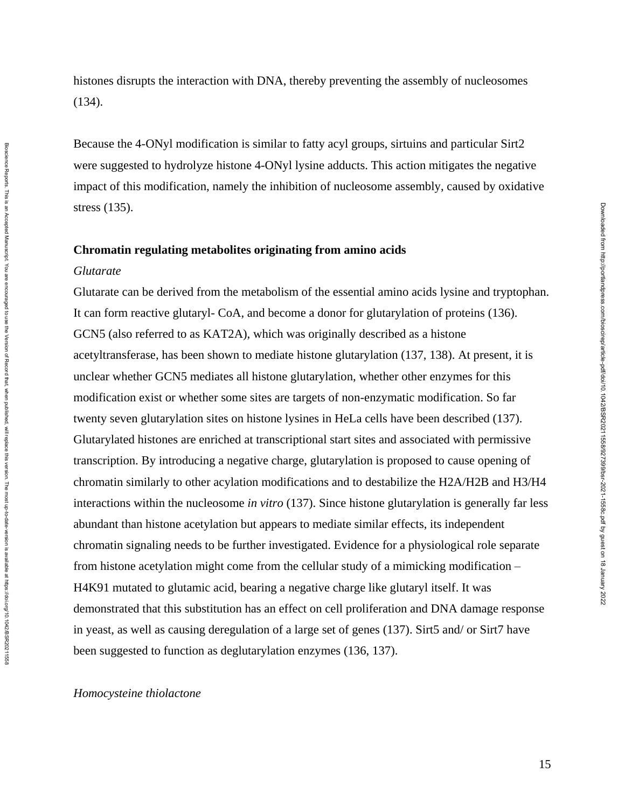histones disrupts the interaction with DNA, thereby preventing the assembly of nucleosomes (134).

Because the 4-ONyl modification is similar to fatty acyl groups, sirtuins and particular Sirt2 were suggested to hydrolyze histone 4-ONyl lysine adducts. This action mitigates the negative impact of this modification, namely the inhibition of nucleosome assembly, caused by oxidative stress (135).

# **Chromatin regulating metabolites originating from amino acids** *Glutarate*

Glutarate can be derived from the metabolism of the essential amino acids lysine and tryptophan. It can form reactive glutaryl- CoA, and become a donor for glutarylation of proteins (136). GCN5 (also referred to as KAT2A), which was originally described as a histone acetyltransferase, has been shown to mediate histone glutarylation (137, 138). At present, it is unclear whether GCN5 mediates all histone glutarylation, whether other enzymes for this modification exist or whether some sites are targets of non-enzymatic modification. So far twenty seven glutarylation sites on histone lysines in HeLa cells have been described (137). Glutarylated histones are enriched at transcriptional start sites and associated with permissive transcription. By introducing a negative charge, glutarylation is proposed to cause opening of chromatin similarly to other acylation modifications and to destabilize the H2A/H2B and H3/H4 interactions within the nucleosome *in vitro* (137). Since histone glutarylation is generally far less abundant than histone acetylation but appears to mediate similar effects, its independent chromatin signaling needs to be further investigated. Evidence for a physiological role separate from histone acetylation might come from the cellular study of a mimicking modification – H4K91 mutated to glutamic acid, bearing a negative charge like glutaryl itself. It was demonstrated that this substitution has an effect on cell proliferation and DNA damage response in yeast, as well as causing deregulation of a large set of genes (137). Sirt5 and/ or Sirt7 have been suggested to function as deglutarylation enzymes (136, 137).

## *Homocysteine thiolactone*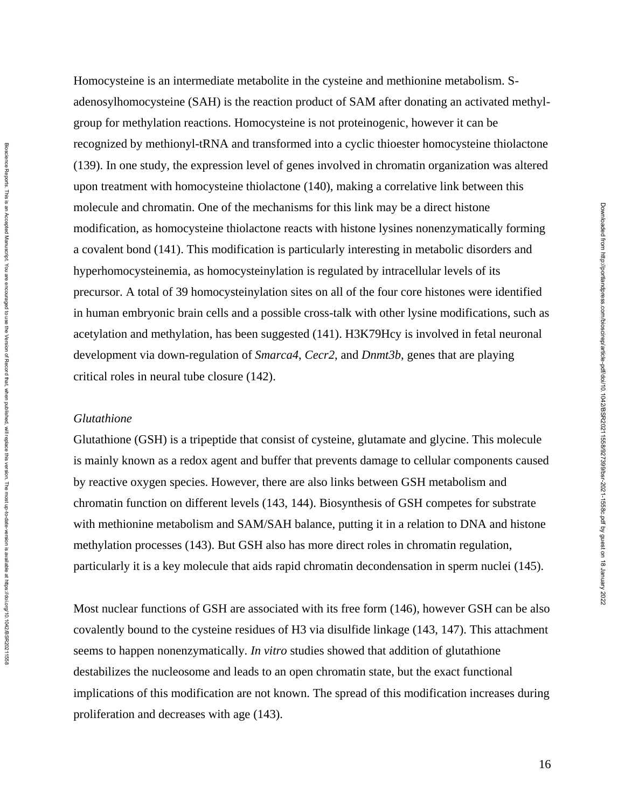Homocysteine is an intermediate metabolite in the cysteine and methionine metabolism. Sadenosylhomocysteine (SAH) is the reaction product of SAM after donating an activated methylgroup for methylation reactions. Homocysteine is not proteinogenic, however it can be recognized by methionyl-tRNA and transformed into a cyclic thioester homocysteine thiolactone (139). In one study, the expression level of genes involved in chromatin organization was altered upon treatment with homocysteine thiolactone (140), making a correlative link between this molecule and chromatin. One of the mechanisms for this link may be a direct histone modification, as homocysteine thiolactone reacts with histone lysines nonenzymatically forming a covalent bond (141). This modification is particularly interesting in metabolic disorders and hyperhomocysteinemia, as homocysteinylation is regulated by intracellular levels of its precursor. A total of 39 homocysteinylation sites on all of the four core histones were identified in human embryonic brain cells and a possible cross-talk with other lysine modifications, such as acetylation and methylation, has been suggested (141). H3K79Hcy is involved in fetal neuronal development via down-regulation of *Smarca4*, *Cecr2*, and *Dnmt3b,* genes that are playing critical roles in neural tube closure (142).

## *Glutathione*

Glutathione (GSH) is a tripeptide that consist of cysteine, glutamate and glycine. This molecule is mainly known as a redox agent and buffer that prevents damage to cellular components caused by reactive oxygen species. However, there are also links between GSH metabolism and chromatin function on different levels (143, 144). Biosynthesis of GSH competes for substrate with methionine metabolism and SAM/SAH balance, putting it in a relation to DNA and histone methylation processes (143). But GSH also has more direct roles in chromatin regulation, particularly it is a key molecule that aids rapid chromatin decondensation in sperm nuclei (145).

Most nuclear functions of GSH are associated with its free form (146), however GSH can be also covalently bound to the cysteine residues of H3 via disulfide linkage (143, 147). This attachment seems to happen nonenzymatically. *In vitro* studies showed that addition of glutathione destabilizes the nucleosome and leads to an open chromatin state, but the exact functional implications of this modification are not known. The spread of this modification increases during proliferation and decreases with age (143).

Bioscience Reports. This is an Accepted Manuscript. You are encourged to use the Version of Record that, when published, will replace this version. The most up-to-date-version is available at https://doi.org/10.1042/BSR202 Bloscience Reports. This is an Accepted Manuscript. You are encouraged to use the Version of Persion of Record that, when published, will replace this version. The most up-to-date-version is available at https://doi.07/10.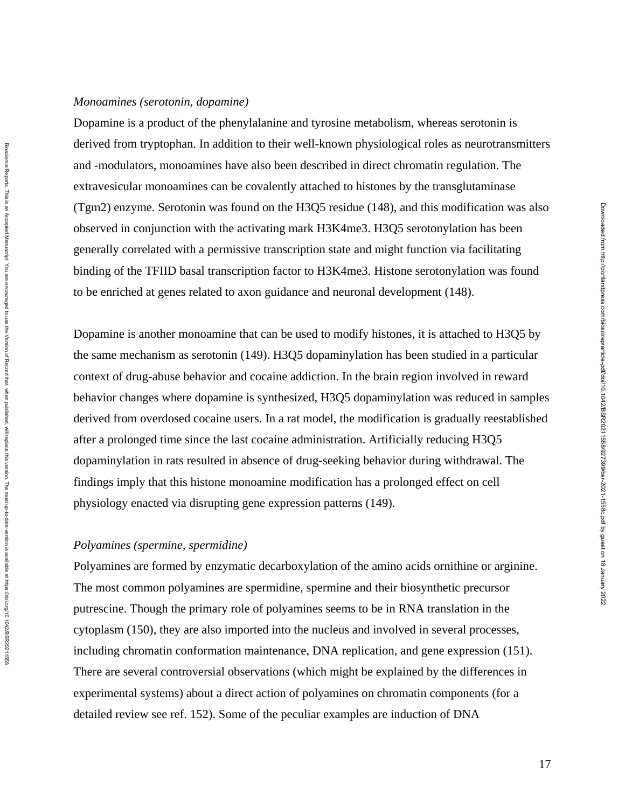#### *Monoamines (serotonin, dopamine)*

Dopamine is a product of the phenylalanine and tyrosine metabolism, whereas serotonin is derived from tryptophan. In addition to their well-known physiological roles as neurotransmitters and -modulators, monoamines have also been described in direct chromatin regulation. The extravesicular monoamines can be covalently attached to histones by the transglutaminase (Tgm2) enzyme. Serotonin was found on the H3Q5 residue (148), and this modification was also observed in conjunction with the activating mark H3K4me3. H3Q5 serotonylation has been generally correlated with a permissive transcription state and might function via facilitating binding of the TFIID basal transcription factor to H3K4me3. Histone serotonylation was found to be enriched at genes related to axon guidance and neuronal development (148).

Dopamine is another monoamine that can be used to modify histones, it is attached to H3Q5 by the same mechanism as serotonin (149). H3Q5 dopaminylation has been studied in a particular context of drug-abuse behavior and cocaine addiction. In the brain region involved in reward behavior changes where dopamine is synthesized, H3Q5 dopaminylation was reduced in samples derived from overdosed cocaine users. In a rat model, the modification is gradually reestablished after a prolonged time since the last cocaine administration. Artificially reducing H3Q5 dopaminylation in rats resulted in absence of drug-seeking behavior during withdrawal. The findings imply that this histone monoamine modification has a prolonged effect on cell physiology enacted via disrupting gene expression patterns (149).

# *Polyamines (spermine, spermidine)*

Polyamines are formed by enzymatic decarboxylation of the amino acids ornithine or arginine. The most common polyamines are spermidine, spermine and their biosynthetic precursor putrescine. Though the primary role of polyamines seems to be in RNA translation in the cytoplasm (150), they are also imported into the nucleus and involved in several processes, including chromatin conformation maintenance, DNA replication, and gene expression (151). There are several controversial observations (which might be explained by the differences in experimental systems) about a direct action of polyamines on chromatin components (for a detailed review see ref. 152). Some of the peculiar examples are induction of DNA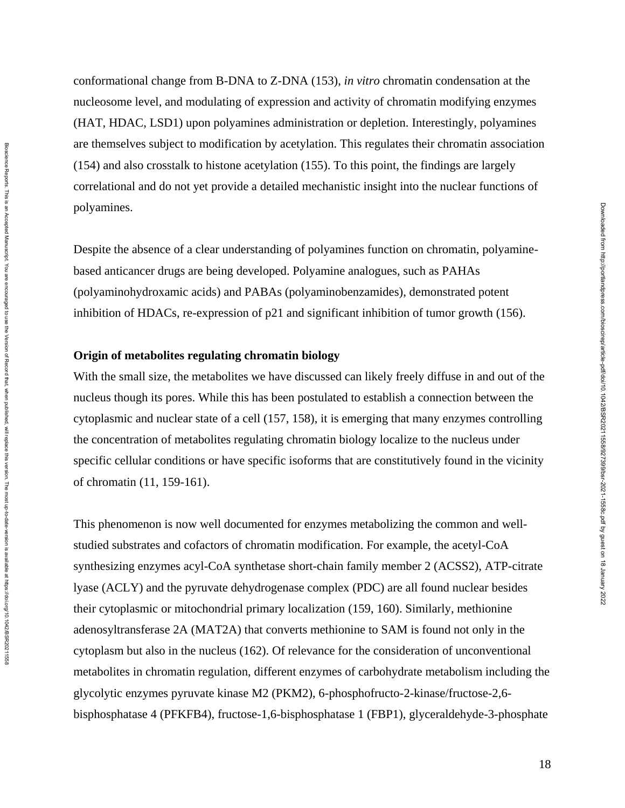conformational change from B-DNA to Z-DNA (153), *in vitro* chromatin condensation at the nucleosome level, and modulating of expression and activity of chromatin modifying enzymes (HAT, HDAC, LSD1) upon polyamines administration or depletion. Interestingly, polyamines are themselves subject to modification by acetylation. This regulates their chromatin association (154) and also crosstalk to histone acetylation (155). To this point, the findings are largely correlational and do not yet provide a detailed mechanistic insight into the nuclear functions of polyamines.

Despite the absence of a clear understanding of polyamines function on chromatin, polyaminebased anticancer drugs are being developed. Polyamine analogues, such as PAHAs (polyaminohydroxamic acids) and PABAs (polyaminobenzamides), demonstrated potent inhibition of HDACs, re-expression of p21 and significant inhibition of tumor growth (156).

# **Origin of metabolites regulating chromatin biology**

With the small size, the metabolites we have discussed can likely freely diffuse in and out of the nucleus though its pores. While this has been postulated to establish a connection between the cytoplasmic and nuclear state of a cell (157, 158), it is emerging that many enzymes controlling the concentration of metabolites regulating chromatin biology localize to the nucleus under specific cellular conditions or have specific isoforms that are constitutively found in the vicinity of chromatin (11, 159-161).

This phenomenon is now well documented for enzymes metabolizing the common and wellstudied substrates and cofactors of chromatin modification. For example, the acetyl-CoA synthesizing enzymes acyl-CoA synthetase short-chain family member 2 (ACSS2), ATP-citrate lyase (ACLY) and the pyruvate dehydrogenase complex (PDC) are all found nuclear besides their cytoplasmic or mitochondrial primary localization (159, 160). Similarly, methionine adenosyltransferase 2A (MAT2A) that converts methionine to SAM is found not only in the cytoplasm but also in the nucleus (162). Of relevance for the consideration of unconventional metabolites in chromatin regulation, different enzymes of carbohydrate metabolism including the glycolytic enzymes pyruvate kinase M2 (PKM2), 6-phosphofructo-2-kinase/fructose-2,6 bisphosphatase 4 (PFKFB4), fructose-1,6-bisphosphatase 1 (FBP1), glyceraldehyde-3-phosphate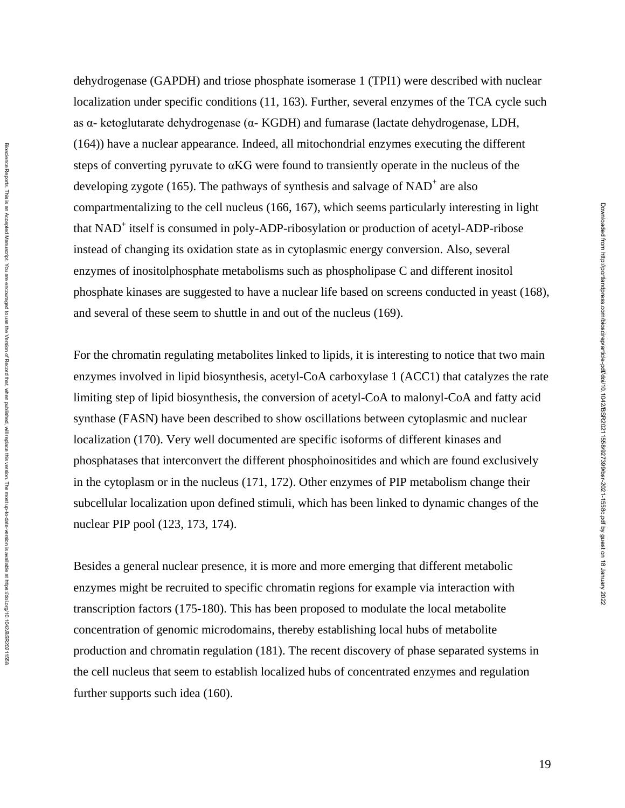dehydrogenase (GAPDH) and triose phosphate isomerase 1 (TPI1) were described with nuclear localization under specific conditions (11, 163). Further, several enzymes of the TCA cycle such as α- ketoglutarate dehydrogenase (α- KGDH) and fumarase (lactate dehydrogenase, LDH, (164)) have a nuclear appearance. Indeed, all mitochondrial enzymes executing the different steps of converting pyruvate to αKG were found to transiently operate in the nucleus of the developing zygote (165). The pathways of synthesis and salvage of  $NAD<sup>+</sup>$  are also compartmentalizing to the cell nucleus (166, 167), which seems particularly interesting in light that NAD<sup>+</sup> itself is consumed in poly-ADP-ribosylation or production of acetyl-ADP-ribose instead of changing its oxidation state as in cytoplasmic energy conversion. Also, several enzymes of inositolphosphate metabolisms such as phospholipase C and different inositol phosphate kinases are suggested to have a nuclear life based on screens conducted in yeast (168), and several of these seem to shuttle in and out of the nucleus (169).

For the chromatin regulating metabolites linked to lipids, it is interesting to notice that two main enzymes involved in lipid biosynthesis, acetyl-CoA carboxylase 1 (ACC1) that catalyzes the rate limiting step of lipid biosynthesis, the conversion of acetyl-CoA to malonyl-CoA and fatty acid synthase (FASN) have been described to show oscillations between cytoplasmic and nuclear localization (170). Very well documented are specific isoforms of different kinases and phosphatases that interconvert the different phosphoinositides and which are found exclusively in the cytoplasm or in the nucleus (171, 172). Other enzymes of PIP metabolism change their subcellular localization upon defined stimuli, which has been linked to dynamic changes of the nuclear PIP pool (123, 173, 174).

Besides a general nuclear presence, it is more and more emerging that different metabolic enzymes might be recruited to specific chromatin regions for example via interaction with transcription factors (175-180). This has been proposed to modulate the local metabolite concentration of genomic microdomains, thereby establishing local hubs of metabolite production and chromatin regulation (181). The recent discovery of phase separated systems in the cell nucleus that seem to establish localized hubs of concentrated enzymes and regulation further supports such idea (160).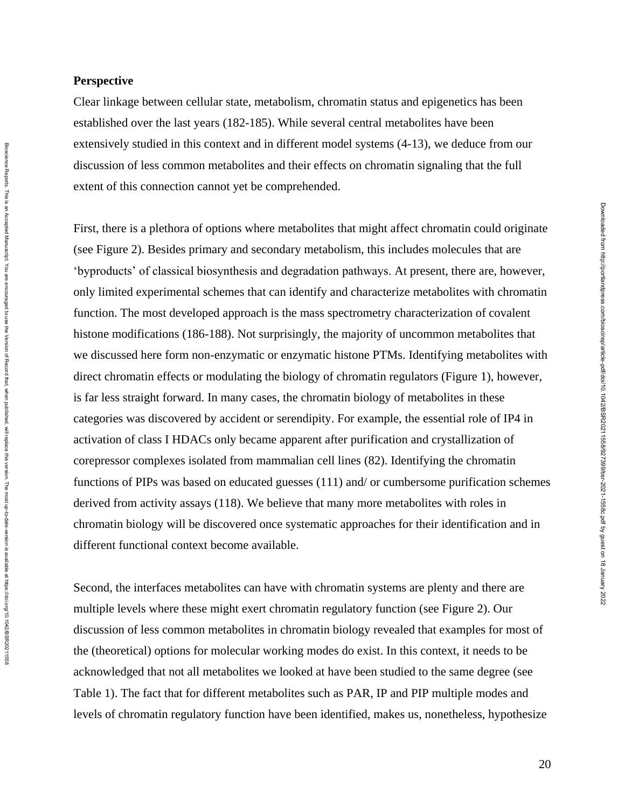## **Perspective**

Clear linkage between cellular state, metabolism, chromatin status and epigenetics has been established over the last years (182-185). While several central metabolites have been extensively studied in this context and in different model systems (4-13), we deduce from our discussion of less common metabolites and their effects on chromatin signaling that the full extent of this connection cannot yet be comprehended.

First, there is a plethora of options where metabolites that might affect chromatin could originate (see Figure 2). Besides primary and secondary metabolism, this includes molecules that are 'byproducts' of classical biosynthesis and degradation pathways. At present, there are, however, only limited experimental schemes that can identify and characterize metabolites with chromatin function. The most developed approach is the mass spectrometry characterization of covalent histone modifications (186-188). Not surprisingly, the majority of uncommon metabolites that we discussed here form non-enzymatic or enzymatic histone PTMs. Identifying metabolites with direct chromatin effects or modulating the biology of chromatin regulators (Figure 1), however, is far less straight forward. In many cases, the chromatin biology of metabolites in these categories was discovered by accident or serendipity. For example, the essential role of IP4 in activation of class I HDACs only became apparent after purification and crystallization of corepressor complexes isolated from mammalian cell lines (82). Identifying the chromatin functions of PIPs was based on educated guesses (111) and/ or cumbersome purification schemes derived from activity assays (118). We believe that many more metabolites with roles in chromatin biology will be discovered once systematic approaches for their identification and in different functional context become available.

Second, the interfaces metabolites can have with chromatin systems are plenty and there are multiple levels where these might exert chromatin regulatory function (see Figure 2). Our discussion of less common metabolites in chromatin biology revealed that examples for most of the (theoretical) options for molecular working modes do exist. In this context, it needs to be acknowledged that not all metabolites we looked at have been studied to the same degree (see Table 1). The fact that for different metabolites such as PAR, IP and PIP multiple modes and levels of chromatin regulatory function have been identified, makes us, nonetheless, hypothesize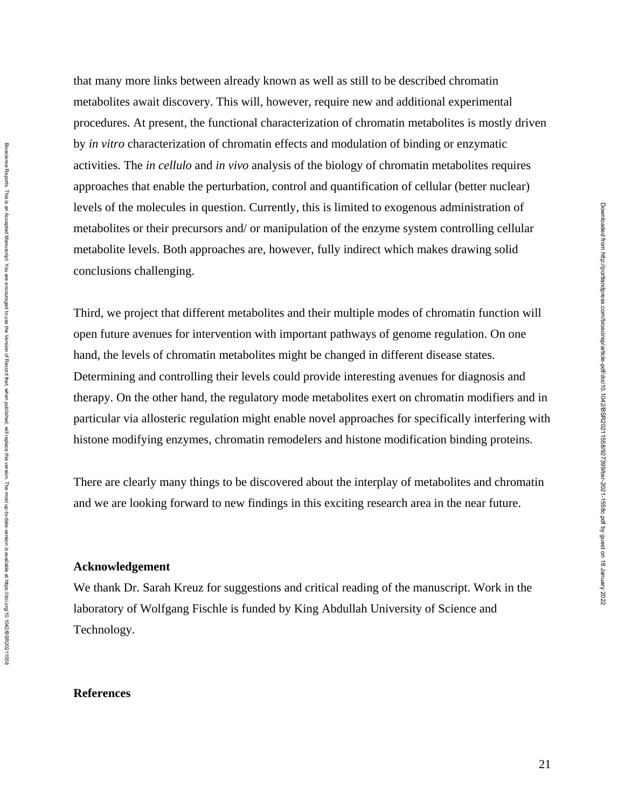that many more links between already known as well as still to be described chromatin metabolites await discovery. This will, however, require new and additional experimental procedures. At present, the functional characterization of chromatin metabolites is mostly driven by *in vitro* characterization of chromatin effects and modulation of binding or enzymatic activities. The *in cellulo* and *in vivo* analysis of the biology of chromatin metabolites requires approaches that enable the perturbation, control and quantification of cellular (better nuclear) levels of the molecules in question. Currently, this is limited to exogenous administration of metabolites or their precursors and/ or manipulation of the enzyme system controlling cellular metabolite levels. Both approaches are, however, fully indirect which makes drawing solid conclusions challenging.

Third, we project that different metabolites and their multiple modes of chromatin function will open future avenues for intervention with important pathways of genome regulation. On one hand, the levels of chromatin metabolites might be changed in different disease states. Determining and controlling their levels could provide interesting avenues for diagnosis and therapy. On the other hand, the regulatory mode metabolites exert on chromatin modifiers and in particular via allosteric regulation might enable novel approaches for specifically interfering with histone modifying enzymes, chromatin remodelers and histone modification binding proteins.

There are clearly many things to be discovered about the interplay of metabolites and chromatin and we are looking forward to new findings in this exciting research area in the near future.

# **Acknowledgement**

Bioscience Reports. This is an Accepted Manuscript. You are encourged to use the Version of Record that, when published, will replace this version. The most up-to-date-version is available at https://doi.org/10.1042/BSR202 Bloscience Reports. This is an Accepted Manuscript. You are encouraged to use the Version of Persion of Record that, when published, will replace this version. The most up-to-date-version is available at https://doi.07/10.

We thank Dr. Sarah Kreuz for suggestions and critical reading of the manuscript. Work in the laboratory of Wolfgang Fischle is funded by King Abdullah University of Science and Technology.

## **References**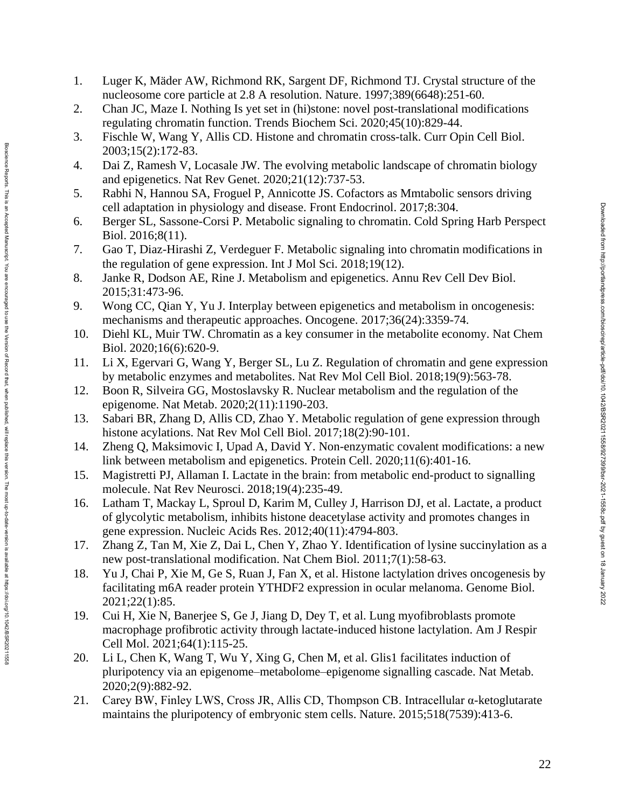- 1. Luger K, Mäder AW, Richmond RK, Sargent DF, Richmond TJ. Crystal structure of the nucleosome core particle at 2.8 A resolution. Nature. 1997;389(6648):251-60.
- 2. Chan JC, Maze I. Nothing Is yet set in (hi)stone: novel post -translational modifications regulating chromatin function. Trends Biochem Sci. 2020;45(10):829 -44.
- 3. Fischle W, Wang Y, Allis CD. Histone and chromatin cross -talk. Curr Opin Cell Biol. 2003;15(2):172 -83.
- 4. Dai Z, Ramesh V, Locasale JW. The evolving metabolic landscape of chromatin biology and epigenetics. Nat Rev Genet. 2020;21(12):737 -53.
- 5. Rabhi N, Hannou SA, Froguel P, Annicotte JS. Cofactors as Mmtabolic sensors driving cell adaptation in physiology and disease. Front Endocrinol. 2017;8:304.
- 6. Berger SL, Sassone -Corsi P. Metabolic signaling to chromatin. Cold Spring Harb Perspect Biol. 2016;8(11).
- 7. Gao T, Diaz -Hirashi Z, Verdeguer F. Metabolic signaling into chromatin modifications in the regulation of gene expression. Int J Mol Sci. 2018;19(12).
- 8. Janke R, Dodson AE, Rine J. Metabolism and epigenetics. Annu Rev Cell Dev Biol. 2015;31:473 -96.
- 9. Wong CC, Qian Y, Yu J. Interplay between epigenetics and metabolism in oncogenesis: mechanisms and therapeutic approaches. Oncogene. 2017;36(24):3359 -74.
- 10. Diehl KL, Muir TW. Chromatin as a key consumer in the metabolite economy. Nat Chem Biol. 2020;16(6):620 -9.
- 11. Li X, Egervari G, Wang Y, Berger SL, Lu Z. Regulation of chromatin and gene expression by metabolic enzymes and metabolites. Nat Rev Mol Cell Biol. 2018;19(9):563 -78.
- 12. Boon R, Silveira GG, Mostoslavsky R. Nuclear metabolism and the regulation of the epigenome. Nat Metab. 2020;2(11):1190 -203.

version. The most up-to-date-version is available at https://doi.org/10.1042/BSR20211558

- 13. Sabari BR, Zhang D, Allis CD, Zhao Y. Metabolic regulation of gene expression through histone acylations. Nat Rev Mol Cell Biol. 2017;18(2):90 -101.
- 14. Zheng Q, Maksimovic I, Upad A, David Y. Non -enzymatic covalent modifications: a new link between metabolism and epigenetics. Protein Cell. 2020;11(6):401 -16.
- 15. Magistretti PJ, Allaman I. Lactate in the brain: from metabolic end -product to signalling molecule. Nat Rev Neurosci. 2018;19(4):235 -49.
- 16. Latham T, Mackay L, Sproul D, Karim M, Culley J, Harrison DJ, et al. Lactate, a product of glycolytic metabolism, inhibits histone deacetylase activity and promotes changes in gene expression. Nucleic Acids Res. 2012;40(11):4794 -803.
- 17. Zhang Z, Tan M, Xie Z, Dai L, Chen Y, Zhao Y. Identification of lysine succinylation as a new post -translational modification. Nat Chem Biol. 2011;7(1):58 -63.
- 18. Yu J, Chai P, Xie M, Ge S, Ruan J, Fan X, et al. Histone lactylation drives oncogenesis by facilitating m6A reader protein YTHDF2 expression in ocular melanoma. Genome Biol. 2021;22(1):85.
- 19. Cui H, Xie N, Banerjee S, Ge J, Jiang D, Dey T, et al. Lung myofibroblasts promote macrophage profibrotic activity through lactate -induced histone lactylation. Am J Respir Cell Mol. 2021;64(1):115 -25.
- 20. Li L, Chen K, Wang T, Wu Y, Xing G, Chen M, et al. Glis1 facilitates induction of pluripotency via an epigenome–metabolome–epigenome signalling cascade. Nat Metab. 2020;2(9):882 -92.
- 21. Carey BW, Finley LWS, Cross JR, Allis CD, Thompson CB. Intracellular α -ketoglutarate maintains the pluripotency of embryonic stem cells. Nature. 2015;518(7539):413 -6.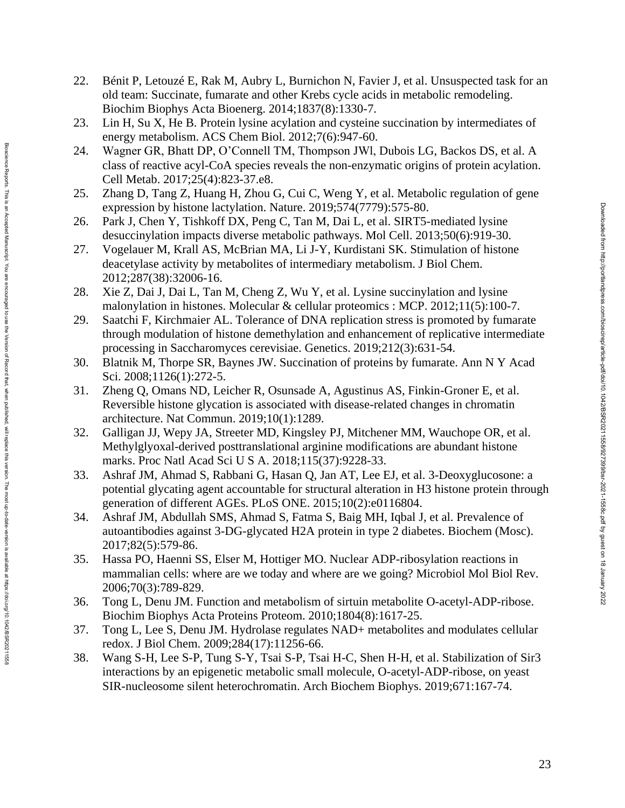- 22. Bénit P, Letouzé E, Rak M, Aubry L, Burnichon N, Favier J, et al. Unsuspected task for an old team: Succinate, fumarate and other Krebs cycle acids in metabolic remodeling. Biochim Biophys Acta Bioenerg. 2014;1837(8):1330 -7.
- 23. Lin H, Su X, He B. Protein lysine acylation and cysteine succination by intermediates of energy metabolism. ACS Chem Biol. 2012;7(6):947-60.
- 24. Wagner GR, Bhatt DP, O'Connell TM, Thompson JWl, Dubois LG, Backos DS, et al. A class of reactive acyl -CoA species reveals the non -enzymatic origins of protein acylation. Cell Metab. 2017;25(4):823 -37.e8.
- 25. Zhang D, Tang Z, Huang H, Zhou G, Cui C, Weng Y, et al. Metabolic regulation of gene expression by histone lactylation. Nature. 2019;574(7779):575 -80.
- 26. Park J, Chen Y, Tishkoff DX, Peng C, Tan M, Dai L, et al. SIRT5-mediated lysine desuccinylation impacts diverse metabolic pathways. Mol Cell. 2013;50(6):919 -30.
- 27. Vogelauer M, Krall AS, McBrian MA, Li J -Y, Kurdistani SK. Stimulation of histone deacetylase activity by metabolites of intermediary metabolism. J Biol Chem. 2012;287(38):32006 -16.
- 28. Xie Z, Dai J, Dai L, Tan M, Cheng Z, Wu Y, et al. Lysine succinylation and lysine malonylation in histones. Molecular & cellular proteomics : MCP. 2012;11(5):100 -7.
- 29. Saatchi F, Kirchmaier AL. Tolerance of DNA replication stress is promoted by fumarate through modulation of histone demethylation and enhancement of replicative intermediate processing in Saccharomyces cerevisiae. Genetics. 2019;212(3):631 -54.
- 30. Blatnik M, Thorpe SR, Baynes JW. Succination of proteins by fumarate. Ann N Y Acad Sci. 2008;1126(1):272-5.
- 31. Zheng Q, Omans ND, Leicher R, Osunsade A, Agustinus AS, Finkin -Groner E, et al. Reversible histone glycation is associated with disease -related changes in chromatin architecture. Nat Commun. 2019;10(1):1289.

Biosdence Reports. This is an Accepted Manuscript. You are encompated when the propertional manuscript is an accept on the version of the manuscript of the version of the version is when the version. The most up-to-date-ve Bloscience Reports. This is an Accepted Manuscript. You are encouraged to use the Version of Persion of Record that, when published, will replace this version. The most up-to-date-version is available at https://doi.07/10.

- 32. Galligan JJ, Wepy JA, Streeter MD, Kingsley PJ, Mitchener MM, Wauchope OR, et al. Methylglyoxal -derived posttranslational arginine modifications are abundant histone marks. Proc Natl Acad Sci U S A. 2018;115(37):9228 -33.
- 33. Ashraf JM, Ahmad S, Rabbani G, Hasan Q, Jan AT, Lee EJ, et al. 3 -Deoxyglucosone: a potential glycating agent accountable for structural alteration in H3 histone protein through generation of different AGEs. PLoS ONE. 2015;10(2):e0116804.
- 34. Ashraf JM, Abdullah SMS, Ahmad S, Fatma S, Baig MH, Iqbal J, et al. Prevalence of autoantibodies against 3 -DG -glycated H2A protein in type 2 diabetes. Biochem (Mosc). 2017;82(5):579 -86.
- 35. Hassa PO, Haenni SS, Elser M, Hottiger MO. Nuclear ADP -ribosylation reactions in mammalian cells: where are we today and where are we going? Microbiol Mol Biol Rev. 2006;70(3):789 -829.
- 36. Tong L, Denu JM. Function and metabolism of sirtuin metabolite O -acetyl -ADP -ribose. Biochim Biophys Acta Proteins Proteom. 2010;1804(8):1617 -25.
- 37. Tong L, Lee S, Denu JM. Hydrolase regulates NAD+ metabolites and modulates cellular redox. J Biol Chem. 2009;284(17):11256 -66.
- 38. Wang S -H, Lee S -P, Tung S Y, Tsai S -P, Tsai H -C, Shen H -H, et al. Stabilization of Sir3 interactions by an epigenetic metabolic small molecule, O -acetyl -ADP -ribose, on yeast SIR -nucleosome silent heterochromatin. Arch Biochem Biophys. 2019;671:167 -74.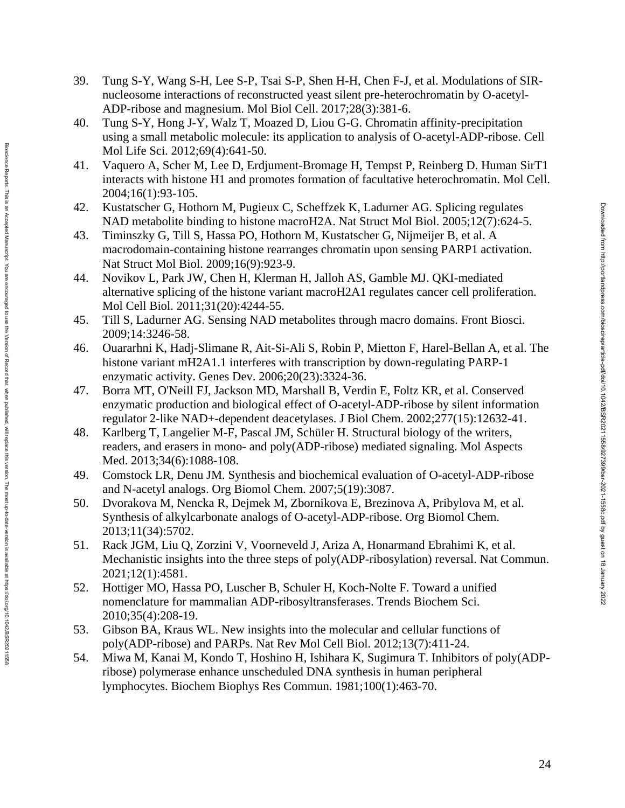- 39. Tung S-Y, Wang S-H, Lee S-P, Tsai S-P, Shen H-H, Chen F-J, et al. Modulations of SIRnucleosome interactions of reconstructed yeast silent pre -heterochromatin by O -acetyl - ADP -ribose and magnesium. Mol Biol Cell. 2017;28(3):381 -6.
- 40. Tung S -Y, Hong J -Y, Walz T, Moazed D, Liou G -G. Chromatin affinity -precipitation using a small metabolic molecule: its application to analysis of O -acetyl -ADP -ribose. Cell Mol Life Sci. 2012;69(4):641 -50.
- 41. Vaquero A, Scher M, Lee D, Erdjument -Bromage H, Tempst P, Reinberg D. Human SirT1 interacts with histone H1 and promotes formation of facultative heterochromatin. Mol Cell. 2004;16(1):93 -105.
- 42. Kustatscher G, Hothorn M, Pugieux C, Scheffzek K, Ladurner AG. Splicing regulates NAD metabolite binding to histone macroH2A. Nat Struct Mol Biol. 2005;12(7):624 -5.
- 43. Timinszky G, Till S, Hassa PO, Hothorn M, Kustatscher G, Nijmeijer B, et al. A macrodomain -containing histone rearranges chromatin upon sensing PARP1 activation. Nat Struct Mol Biol. 2009;16(9):923 -9.
- 44. Novikov L, Park JW, Chen H, Klerman H, Jalloh AS, Gamble MJ. QKI -mediated alternative splicing of the histone variant macroH2A1 regulates cancer cell proliferation. Mol Cell Biol. 2011;31(20):4244 -55.
- 45. Till S, Ladurner AG. Sensing NAD metabolites through macro domains. Front Biosci. 2009;14:3246 -58.
- 46. Ouararhni K, Hadj -Slimane R, Ait -Si -Ali S, Robin P, Mietton F, Harel -Bellan A, et al. The histone variant mH2A1.1 interferes with transcription by down-regulating PARP-1 enzymatic activity. Genes Dev. 2006;20(23):3324 -36.
- 47. Borra MT, O'Neill FJ, Jackson MD, Marshall B, Verdin E, Foltz KR, et al. Conserved enzymatic production and biological effect of O -acetyl -ADP -ribose by silent information regulator 2 -like NAD+ -dependent deacetylases. J Biol Chem. 2002;277(15):12632 -41.

Biosdence Reports. This is an Accepted Manuscript. You are encourated to use the Version of Record that, when published, will replace this version. The most up-to-date-version is available at https://doi.org/10.1042/BSR20 Bloscience Reports. This is an Accepted Manuscript. You are encouraged to use the Version of Persion of Record that, when published, will replace this version. The most up-to-date-version is available at https://doi.07/10.

- 48. Karlberg T, Langelier M -F, Pascal JM, Schüler H. Structural biology of the writers, readers, and erasers in mono - and poly(ADP -ribose) mediated signaling. Mol Aspects Med. 2013;34(6):1088-108.
- 49. Comstock LR, Denu JM. Synthesis and biochemical evaluation of O -acetyl -ADP -ribose and N -acetyl analogs. Org Biomol Chem. 2007;5(19):3087.
- 50. Dvorakova M, Nencka R, Dejmek M, Zbornikova E, Brezinova A, Pribylova M, et al. Synthesis of alkylcarbonate analogs of O -acetyl -ADP -ribose. Org Biomol Chem. 2013;11(34):5702.
- 51. Rack JGM, Liu Q, Zorzini V, Voorneveld J, Ariza A, Honarmand Ebrahimi K, et al. Mechanistic insights into the three steps of poly(ADP -ribosylation) reversal. Nat Commun. 2021;12(1):4581.
- 52. Hottiger MO, Hassa PO, Luscher B, Schuler H, Koch -Nolte F. Toward a unified nomenclature for mammalian ADP -ribosyltransferases. Trends Biochem Sci. 2010;35(4):208 -19.
- 53. Gibson BA, Kraus WL. New insights into the molecular and cellular functions of poly(ADP -ribose) and PARPs. Nat Rev Mol Cell Biol. 2012;13(7):411 -24.
- 54. Miwa M, Kanai M, Kondo T, Hoshino H, Ishihara K, Sugimura T. Inhibitors of poly(ADP ribose) polymerase enhance unscheduled DNA synthesis in human peripheral lymphocytes. Biochem Biophys Res Commun. 1981;100(1):463 -70.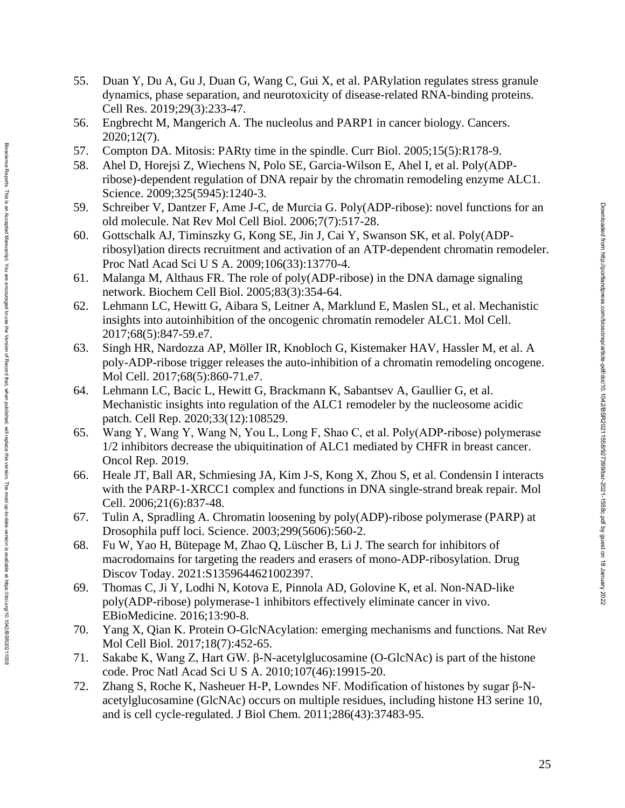- 55. Duan Y, Du A, Gu J, Duan G, Wang C, Gui X, et al. PARylation regulates stress granule dynamics, phase separation, and neurotoxicity of disease -related RNA -binding proteins. Cell Res. 2019;29(3):233 -47.
- 56. Engbrecht M, Mangerich A. The nucleolus and PARP1 in cancer biology. Cancers. 2020;12(7).
- 57. Compton DA. Mitosis: PARty time in the spindle. Curr Biol. 2005;15(5):R178 -9.
- 58. Ahel D, Horejsi Z, Wiechens N, Polo SE, Garcia-Wilson E, Ahel I, et al. Poly(ADPribose) -dependent regulation of DNA repair by the chromatin remodeling enzyme ALC1. Science. 2009;325(5945):1240-3.
- 59. Schreiber V, Dantzer F, Ame J -C, de Murcia G. Poly(ADP -ribose): novel functions for an old molecule. Nat Rev Mol Cell Biol. 2006;7(7):517 -28.
- 60. Gottschalk AJ, Timinszky G, Kong SE, Jin J, Cai Y, Swanson SK, et al. Poly(ADP ribosyl)ation directs recruitment and activation of an ATP -dependent chromatin remodeler. Proc Natl Acad Sci U S A. 2009;106(33):13770 -4.
- 61. Malanga M, Althaus FR. The role of poly(ADP -ribose) in the DNA damage signaling network. Biochem Cell Biol. 2005;83(3):354 -64.
- 62. Lehmann LC, Hewitt G, Aibara S, Leitner A, Marklund E, Maslen SL, et al. Mechanistic insights into autoinhibition of the oncogenic chromatin remodeler ALC1. Mol Cell. 2017;68(5):847 -59.e7.
- 63. Singh HR, Nardozza AP, Möller IR, Knobloch G, Kistemaker HAV, Hassler M, et al. A poly -ADP -ribose trigger releases the auto -inhibition of a chromatin remodeling oncogene. Mol Cell. 2017;68(5):860 -71.e7.
- 64. Lehmann LC, Bacic L, Hewitt G, Brackmann K, Sabantsev A, Gaullier G, et al. Mechanistic insights into regulation of the ALC1 remodeler by the nucleosome acidic patch. Cell Rep. 2020;33(12):108529.

Biosdence Reports. This is an Accepted Manuscript. You are encourated to use the Version of Record that, when published, will replace this version. The most up-to-date-version is available at https://doi.org/10.1042/BSR20 Bloscience Reports. This is an Accepted Manuscript. You are encouraged to use the Version of Persion of Record that, when published, will replace this version. The most up-to-date-version is available at https://doi.07/10.

- 65. Wang Y, Wang Y, Wang N, You L, Long F, Shao C, et al. Poly(ADP‑ribose) polymerase 1/2 inhibitors decrease the ubiquitination of ALC1 mediated by CHFR in breast cancer. Oncol Rep. 2019.
- 66. Heale JT, Ball AR, Schmiesing JA, Kim J -S, Kong X, Zhou S, et al. Condensin I interacts with the PARP-1-XRCC1 complex and functions in DNA single-strand break repair. Mol Cell. 2006;21(6):837 -48.
- 67. Tulin A, Spradling A. Chromatin loosening by poly(ADP) -ribose polymerase (PARP) at Drosophila puff loci. Science. 2003;299(5606):560 -2.
- 68. Fu W, Yao H, Bütepage M, Zhao Q, Lüscher B, Li J. The search for inhibitors of macrodomains for targeting the readers and erasers of mono -ADP -ribosylation. Drug Discov Today. 2021:S1359644621002397.
- 69. Thomas C, Ji Y, Lodhi N, Kotova E, Pinnola AD, Golovine K, et al. Non -NAD -like poly(ADP -ribose) polymerase -1 inhibitors effectively eliminate cancer in vivo. EBioMedicine. 2016;13:90 -8.
- 70. Yang X, Qian K. Protein O -GlcNAcylation: emerging mechanisms and functions. Nat Rev Mol Cell Biol. 2017;18(7):452 -65.
- 71. Sakabe K, Wang Z, Hart GW. β N -acetylglucosamine (O -GlcNAc) is part of the histone code. Proc Natl Acad Sci U S A. 2010;107(46):19915 -20.
- 72. Zhang S, Roche K, Nasheuer H-P, Lowndes NF. Modification of histones by sugar β-Nacetylglucosamine (GlcNAc) occurs on multiple residues, including histone H3 serine 10, and is cell cycle -regulated. J Biol Chem. 2011;286(43):37483 -95.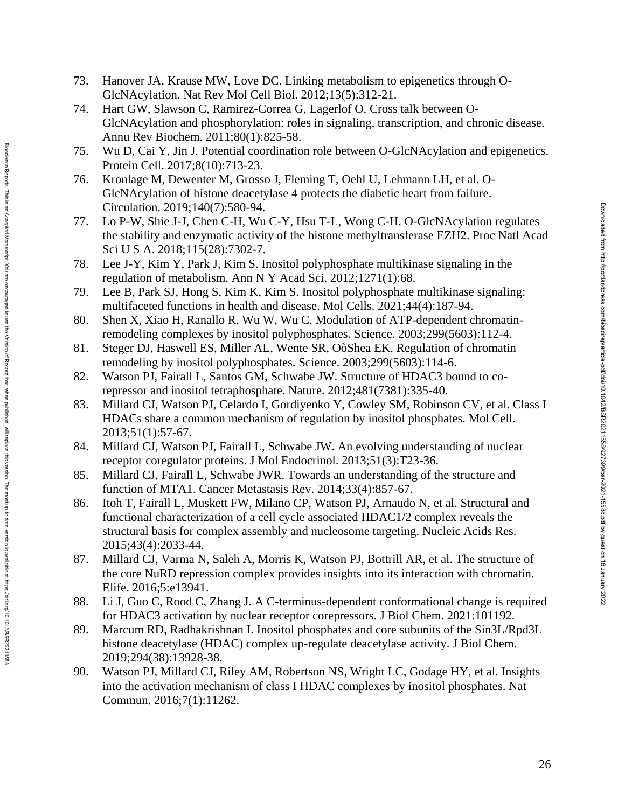- 73. Hanover JA, Krause MW, Love DC. Linking metabolism to epigenetics through O-GlcNAcylation. Nat Rev Mol Cell Biol. 2012;13(5):312 -21.
- 74. Hart GW, Slawson C, Ramirez-Correa G, Lagerlof O. Cross talk between O-GlcNAcylation and phosphorylation: roles in signaling, transcription, and chronic disease. Annu Rev Biochem. 2011;80(1):825 -58.
- 75. Wu D, Cai Y, Jin J. Potential coordination role between O -GlcNAcylation and epigenetics. Protein Cell. 2017;8(10):713 -23.
- 76. Kronlage M, Dewenter M, Grosso J, Fleming T, Oehl U, Lehmann LH, et al. O GlcNAcylation of histone deacetylase 4 protects the diabetic heart from failure. Circulation. 2019;140(7):580 -94.
- 77. Lo P -W, Shie J -J, Chen C -H, Wu C -Y, Hsu T -L, Wong C -H. O -GlcNAcylation regulates the stability and enzymatic activity of the histone methyltransferase EZH2. Proc Natl Acad Sci U S A. 2018;115(28):7302-7.
- 78. Lee J -Y, Kim Y, Park J, Kim S. Inositol polyphosphate multikinase signaling in the regulation of metabolism. Ann N Y Acad Sci. 2012;1271(1):68.
- 79. Lee B, Park SJ, Hong S, Kim K, Kim S. Inositol polyphosphate multikinase signaling: multifaceted functions in health and disease. Mol Cells. 2021;44(4):187 -94.
- 80. Shen X, Xiao H, Ranallo R, Wu W, Wu C. Modulation of ATP -dependent chromatin remodeling complexes by inositol polyphosphates. Science. 2003;299(5603):112 -4.
- 81. Steger DJ, Haswell ES, Miller AL, Wente SR, OòShea EK. Regulation of chromatin remodeling by inositol polyphosphates. Science. 2003;299(5603):114 -6.
- 82. Watson PJ, Fairall L, Santos GM, Schwabe JW. Structure of HDAC3 bound to co repressor and inositol tetraphosphate. Nature. 2012;481(7381):335 -40.

version. The most up-to-date-version is available at https://doi.org/10.1042/BSR20211558

- 83. Millard CJ, Watson PJ, Celardo I, Gordiyenko Y, Cowley SM, Robinson CV, et al. Class I HDACs share a common mechanism of regulation by inositol phosphates. Mol Cell. 2013;51(1):57 -67.
- 84. Millard CJ, Watson PJ, Fairall L, Schwabe JW. An evolving understanding of nuclear receptor coregulator proteins. J Mol Endocrinol. 2013;51(3):T23 -36.
- 85. Millard CJ, Fairall L, Schwabe JWR. Towards an understanding of the structure and function of MTA1. Cancer Metastasis Rev. 2014;33(4):857 -67.
- 86. Itoh T, Fairall L, Muskett FW, Milano CP, Watson PJ, Arnaudo N, et al. Structural and functional characterization of a cell cycle associated HDAC1/2 complex reveals the structural basis for complex assembly and nucleosome targeting. Nucleic Acids Res. 2015;43(4):2033 -44.
- 87. Millard CJ, Varma N, Saleh A, Morris K, Watson PJ, Bottrill AR, et al. The structure of the core NuRD repression complex provides insights into its interaction with chromatin. Elife. 2016;5:e13941.
- 88. Li J, Guo C, Rood C, Zhang J. A C -terminus -dependent conformational change is required for HDAC3 activation by nuclear receptor corepressors. J Biol Chem. 2021:101192.
- 89. Marcum RD, Radhakrishnan I. Inositol phosphates and core subunits of the Sin3L/Rpd3L histone deacetylase (HDAC) complex up -regulate deacetylase activity. J Biol Chem. 2019;294(38):13928 -38.
- 90. Watson PJ, Millard CJ, Riley AM, Robertson NS, Wright LC, Godage HY, et al. Insights into the activation mechanism of class I HDAC complexes by inositol phosphates. Nat Commun. 2016;7(1):11262.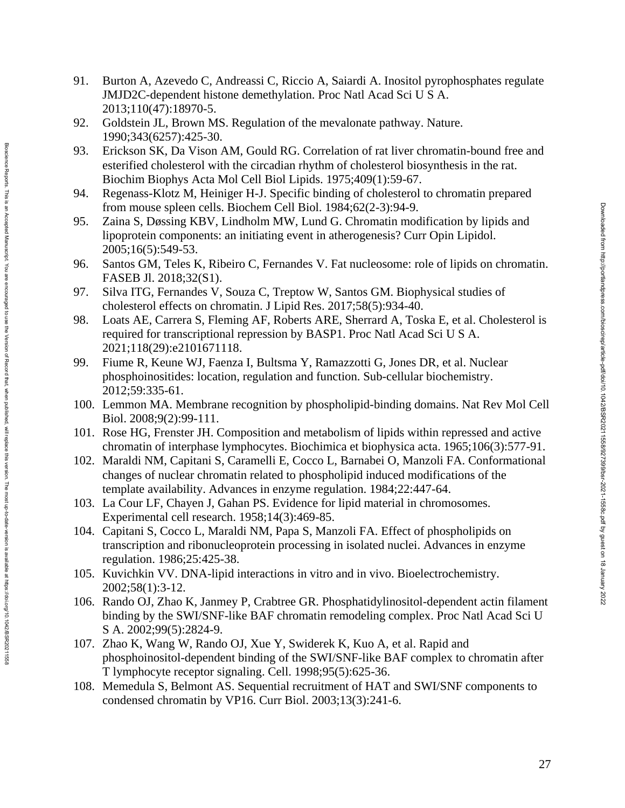- 91. Burton A, Azevedo C, Andreassi C, Riccio A, Saiardi A. Inositol pyrophosphates regulate JMJD2C -dependent histone demethylation. Proc Natl Acad Sci U S A. 2013;110(47):18970 -5.
- 92. Goldstein JL, Brown MS. Regulation of the mevalonate pathway. Nature. 1990;343(6257):425 -30.
- 93. Erickson SK, Da Vison AM, Gould RG. Correlation of rat liver chromatin -bound free and esterified cholesterol with the circadian rhythm of cholesterol biosynthesis in the rat. Biochim Biophys Acta Mol Cell Biol Lipids. 1975;409(1):59 -67.
- 94. Regenass -Klotz M, Heiniger H -J. Specific binding of cholesterol to chromatin prepared from mouse spleen cells. Biochem Cell Biol. 1984;62(2-3):94-9.
- 95. Zaina S, Døssing KBV, Lindholm MW, Lund G. Chromatin modification by lipids and lipoprotein components: an initiating event in atherogenesis? Curr Opin Lipidol. 2005;16(5):549 -53.
- 96. Santos GM, Teles K, Ribeiro C, Fernandes V. Fat nucleosome: role of lipids on chromatin. FASEB Jl. 2018;32(S1).
- 97. Silva ITG, Fernandes V, Souza C, Treptow W, Santos GM. Biophysical studies of cholesterol effects on chromatin. J Lipid Res. 2017;58(5):934 -40.
- 98. Loats AE, Carrera S, Fleming AF, Roberts ARE, Sherrard A, Toska E, et al. Cholesterol is required for transcriptional repression by BASP1. Proc Natl Acad Sci U S A. 2021;118(29):e2101671118.
- 99. Fiume R, Keune WJ, Faenza I, Bultsma Y, Ramazzotti G, Jones DR, et al. Nuclear phosphoinositides: location, regulation and function. Sub -cellular biochemistry. 2012;59:335 -61.

version. The most up-to-date-version is available at https://doi.org/10.1042/BSR20211556

- 100. Lemmon MA. Membrane recognition by phospholipid -binding domains. Nat Rev Mol Cell Biol. 2008;9(2):99 -111.
- 101. Rose HG, Frenster JH. Composition and metabolism of lipids within repressed and active chromatin of interphase lymphocytes. Biochimica et biophysica acta. 1965;106(3):577 -91.
- 102. Maraldi NM, Capitani S, Caramelli E, Cocco L, Barnabei O, Manzoli FA. Conformational changes of nuclear chromatin related to phospholipid induced modifications of the template availability. Advances in enzyme regulation. 1984;22:447 -64.
- 103. La Cour LF, Chayen J, Gahan PS. Evidence for lipid material in chromosomes. Experimental cell research. 1958;14(3):469 -85.
- 104. Capitani S, Cocco L, Maraldi NM, Papa S, Manzoli FA. Effect of phospholipids on transcription and ribonucleoprotein processing in isolated nuclei. Advances in enzyme regulation. 1986;25:425 -38.
- 105. Kuvichkin VV. DNA -lipid interactions in vitro and in vivo. Bioelectrochemistry. 2002;58(1):3 -12.
- 106. Rando OJ, Zhao K, Janmey P, Crabtree GR. Phosphatidylinositol -dependent actin filament binding by the SWI/SNF -like BAF chromatin remodeling complex. Proc Natl Acad Sci U S A. 2002;99(5):2824-9.
- 107. Zhao K, Wang W, Rando OJ, Xue Y, Swiderek K, Kuo A, et al. Rapid and phosphoinositol -dependent binding of the SWI/SNF -like BAF complex to chromatin after T lymphocyte receptor signaling. Cell. 1998;95(5):625 -36.
- 108. Memedula S, Belmont AS. Sequential recruitment of HAT and SWI/SNF components to condensed chromatin by VP16. Curr Biol. 2003;13(3):241 -6.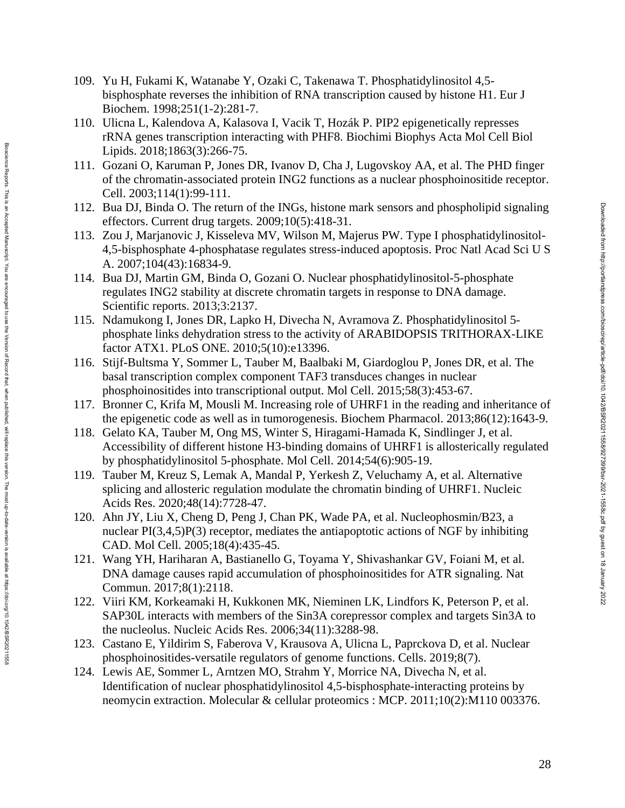- 109. Yu H, Fukami K, Watanabe Y, Ozaki C, Takenawa T. Phosphatidylinositol 4,5 bisphosphate reverses the inhibition of RNA transcription caused by histone H1. Eur J Biochem. 1998;251(1 -2):281 -7.
- 110. Ulicna L, Kalendova A, Kalasova I, Vacik T, Hozák P. PIP2 epigenetically represses rRNA genes transcription interacting with PHF8. Biochimi Biophys Acta Mol Cell Biol Lipids. 2018;1863(3):266 -75.
- 111. Gozani O, Karuman P, Jones DR, Ivanov D, Cha J, Lugovskoy AA, et al. The PHD finger of the chromatin -associated protein ING2 functions as a nuclear phosphoinositide receptor. Cell. 2003;114(1):99 -111.
- 112. Bua DJ, Binda O. The return of the INGs, histone mark sensors and phospholipid signaling effectors. Current drug targets. 2009;10(5):418 -31.
- 113. Zou J, Marjanovic J, Kisseleva MV, Wilson M, Majerus PW. Type I phosphatidylinositol 4,5 -bisphosphate 4 -phosphatase regulates stress -induced apoptosis. Proc Natl Acad Sci U S A. 2007;104(43):16834 -9.
- 114. Bua DJ, Martin GM, Binda O, Gozani O. Nuclear phosphatidylinositol-5-phosphate regulates ING2 stability at discrete chromatin targets in response to DNA damage. Scientific reports. 2013;3:2137.
- 115. Ndamukong I, Jones DR, Lapko H, Divecha N, Avramova Z. Phosphatidylinositol 5 phosphate links dehydration stress to the activity of ARABIDOPSIS TRITHORAX -LIKE factor ATX1. PLoS ONE. 2010;5(10):e13396.
- 116. Stijf-Bultsma Y, Sommer L, Tauber M, Baalbaki M, Giardoglou P, Jones DR, et al. The basal transcription complex component TAF3 transduces changes in nuclear phosphoinositides into transcriptional output. Mol Cell. 2015;58(3):453 -67.

version. The most up-to-date-version is available at https://doi.org/10.1042/BSR20211558

- 117. Bronner C, Krifa M, Mousli M. Increasing role of UHRF1 in the reading and inheritance of the epigenetic code as well as in tumorogenesis. Biochem Pharmacol. 2013;86(12):1643 -9.
- 118. Gelato KA, Tauber M, Ong MS, Winter S, Hiragami -Hamada K, Sindlinger J, et al. Accessibility of different histone H3 -binding domains of UHRF1 is allosterically regulated by phosphatidylinositol 5 -phosphate. Mol Cell. 2014;54(6):905 -19.
- 119. Tauber M, Kreuz S, Lemak A, Mandal P, Yerkesh Z, Veluchamy A, et al. Alternative splicing and allosteric regulation modulate the chromatin binding of UHRF1. Nucleic Acids Res. 2020;48(14):7728 -47.
- 120. Ahn JY, Liu X, Cheng D, Peng J, Chan PK, Wade PA, et al. Nucleophosmin/B23, a nuclear PI(3,4,5)P(3) receptor, mediates the antiapoptotic actions of NGF by inhibiting CAD. Mol Cell. 2005;18(4):435 -45.
- 121. Wang YH, Hariharan A, Bastianello G, Toyama Y, Shivashankar GV, Foiani M, et al. DNA damage causes rapid accumulation of phosphoinositides for ATR signaling. Nat Commun. 2017;8(1):2118.
- 122. Viiri KM, Korkeamaki H, Kukkonen MK, Nieminen LK, Lindfors K, Peterson P, et al. SAP30L interacts with members of the Sin3A corepressor complex and targets Sin3A to the nucleolus. Nucleic Acids Res. 2006;34(11):3288 -98.
- 123. Castano E, Yildirim S, Faberova V, Krausova A, Ulicna L, Paprckova D, et al. Nuclear phosphoinositides -versatile regulators of genome functions. Cells. 2019;8(7).
- 124. Lewis AE, Sommer L, Arntzen MO, Strahm Y, Morrice NA, Divecha N, et al. Identification of nuclear phosphatidylinositol 4,5 -bisphosphate -interacting proteins by neomycin extraction. Molecular & cellular proteomics : MCP. 2011;10(2):M110 003376.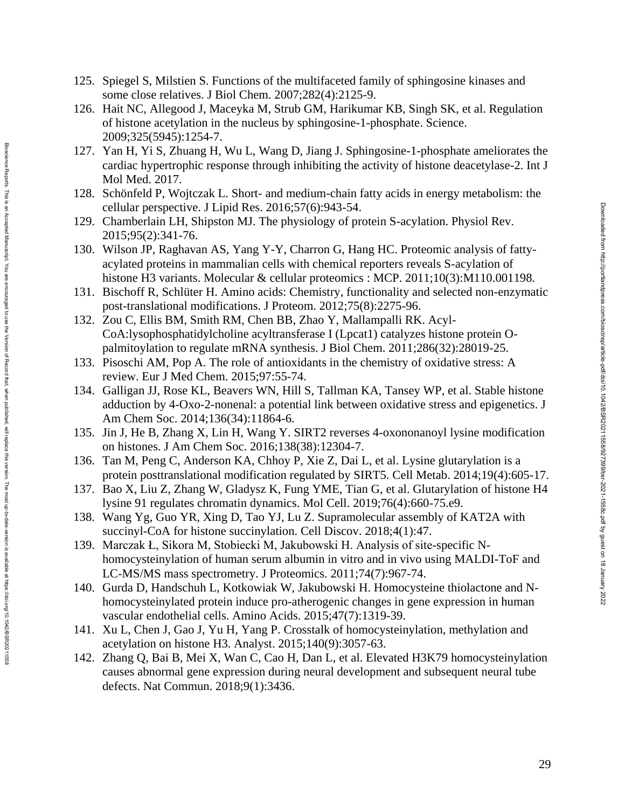- 125. Spiegel S, Milstien S. Functions of the multifaceted family of sphingosine kinases and some close relatives. J Biol Chem. 2007;282(4):2125 -9.
- 126. Hait NC, Allegood J, Maceyka M, Strub GM, Harikumar KB, Singh SK, et al. Regulation of histone acetylation in the nucleus by sphingosine-1-phosphate. Science. 2009;325(5945):1254 -7.
- 127. Yan H, Yi S, Zhuang H, Wu L, Wang D, Jiang J. Sphingosine-1-phosphate ameliorates the cardiac hypertrophic response through inhibiting the activity of histone deacetylase -2. Int J Mol Med. 2017 .
- 128. Schönfeld P, Wojtczak L. Short and medium -chain fatty acids in energy metabolism: the cellular perspective. J Lipid Res. 2016;57(6):943 -54.
- 129. Chamberlain LH, Shipston MJ. The physiology of protein S -acylation. Physiol Rev. 2015;95(2):341 -76.
- 130 . Wilson JP, Raghavan AS, Yang Y -Y, Charron G, Hang HC. Proteomic analysis of fatty acylated proteins in mammalian cells with chemical reporters reveals S -acylation of histone H3 variants. Molecular & cellular proteomics : MCP. 2011;10(3):M110.001198.
- 131. Bischoff R, Schlüter H. Amino acids: Chemistry, functionality and selected non -enzymatic post-translational modifications. J Proteom. 2012;75(8):2275-96.
- 132. Zou C, Ellis BM, Smith RM, Chen BB, Zhao Y, Mallampalli RK. Acyl CoA:lysophosphatidylcholine acyltransferase I (Lpcat1) catalyzes histone protein O palmitoylation to regulate mRNA synthesis. J Biol Chem. 2011;286(32):28019-25.
- 133. Pisoschi AM, Pop A. The role of antioxidants in the chemistry of oxidative stress: A review. Eur J Med Chem. 2015;97:55 -74.

version. The most up-to-date-version is available at https://doi.org/10.1042/BSR20211558

- 134. Galligan JJ, Rose KL, Beavers WN, Hill S, Tallman KA, Tansey WP, et al. Stable histone adduction by 4 -Oxo - 2 -nonenal: a potential link between oxidative stress and epigenetics. J Am Chem Soc. 2014;136(34):11864 -6.
- 135. Jin J, He B, Zhang X, Lin H, Wang Y. SIRT2 reverses 4 -oxononanoyl lysine modification on histones. J Am Chem Soc. 2016;138(38):12304 -7.
- 136. Tan M, Peng C, Anderson KA, Chhoy P, Xie Z, Dai L, et al. Lysine glutarylation is a protein posttranslational modification regulated by SIRT5. Cell Metab. 2014;19(4):605 -17.
- 137. Bao X, Liu Z, Zhang W, Gladysz K, Fung YME, Tian G, et al. Glutarylation of histone H4 lysine 91 regulates chromatin dynamics. Mol Cell. 2019;76(4):660 -75.e9.
- 138. Wang Yg, Guo YR, Xing D, Tao YJ, Lu Z. Supramolecular assembly of KAT2A with succinyl -CoA for histone succinylation. Cell Discov. 2018;4(1):47.
- 139. Marczak Ł, Sikora M, Stobiecki M, Jakubowski H. Analysis of site-specific Nhomocysteinylation of human serum albumin in vitro and in vivo using MALDI-ToF and LC -MS/MS mass spectrometry. J Proteomics. 2011;74(7):967 -74.
- 140. Gurda D, Handschuh L, Kotkowiak W, Jakubowski H. Homocysteine thiolactone and N homocysteinylated protein induce pro -atherogenic changes in gene expression in human vascular endothelial cells. Amino Acids. 2015;47(7):1319 -39.
- 141. Xu L, Chen J, Gao J, Yu H, Yang P. Crosstalk of homocysteinylation, methylation and acetylation on histone H3. Analyst. 2015;140(9):3057 -63.
- 142. Zhang Q, Bai B, Mei X, Wan C, Cao H, Dan L, et al. Elevated H3K79 homocysteinylation causes abnormal gene expression during neural development and subsequent neural tube defects. Nat Commun. 2018;9(1):3436.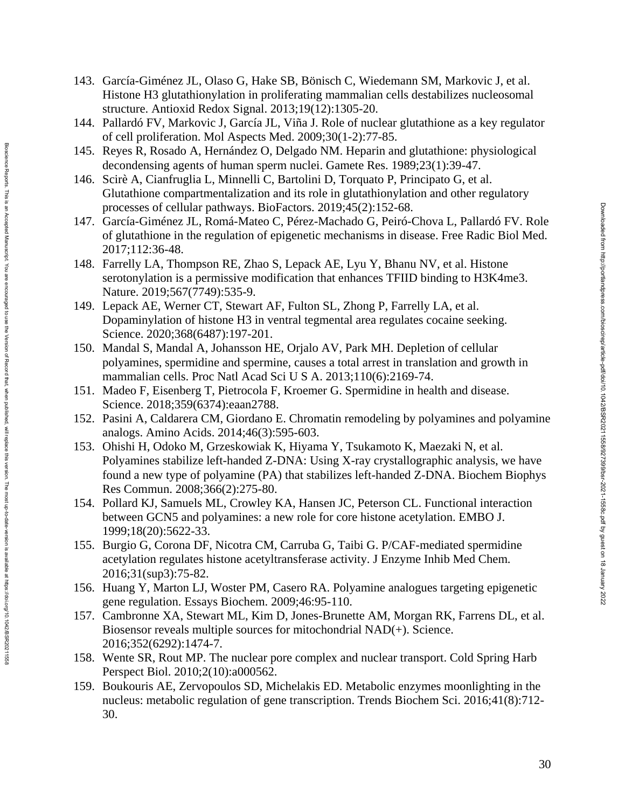- 143. García -Giménez JL, Olaso G, Hake SB, Bönisch C, Wiedemann SM, Markovic J, et al. Histone H3 glutathionylation in proliferating mammalian cells destabilizes nucleosomal structure. Antioxid Redox Signal. 2013;19(12):1305 -20.
- 144. Pallardó FV, Markovic J, García JL, Viña J. Role of nuclear glutathione as a key regulator of cell proliferation. Mol Aspects Med. 2009;30(1 -2):77 -85.
- 145. Reyes R, Rosado A, Hernández O, Delgado NM. Heparin and glutathione: physiological decondensing agents of human sperm nuclei. Gamete Res. 1989;23(1):39 -47.
- 146. Scirè A, Cianfruglia L, Minnelli C, Bartolini D, Torquato P, Principato G, et al. Glutathione compartmentalization and its role in glutathionylation and other regulatory processes of cellular pathways. BioFactors. 2019;45(2):152 -68.
- 147. García-Giménez JL, Romá-Mateo C, Pérez-Machado G, Peiró-Chova L, Pallardó FV. Role of glutathione in the regulation of epigenetic mechanisms in disease. Free Radic Biol Med. 2017;112:36 -48.
- 148. Farrelly LA, Thompson RE, Zhao S, Lepack AE, Lyu Y, Bhanu NV, et al. Histone serotonylation is a permissive modification that enhances TFIID binding to H3K4me3. Nature. 2019;567(7749):535 -9.
- 149. Lepack AE, Werner CT, Stewart AF, Fulton SL, Zhong P, Farrelly LA, et al. Dopaminylation of histone H3 in ventral tegmental area regulates cocaine seeking. Science. 2020;368(6487):197 -201.
- 150. Mandal S, Mandal A, Johansson HE, Orjalo AV, Park MH. Depletion of cellular polyamines, spermidine and spermine, causes a total arrest in translation and growth in mammalian cells. Proc Natl Acad Sci U S A. 2013;110(6):2169 -74.
- 151. Madeo F, Eisenberg T, Pietrocola F, Kroemer G. Spermidine in health and disease. Science. 2018;359(6374):eaan2788.

Bioscience Reports. This is an Accepted Manuscript. You are encourged to use the Version of Record that, when published, will replace this version. The most up-to-date-version is available at https://doi.org/10.1042/BSR20 Bloscience Reports. This is an Accepted Manuscript. You are encouraged to use the Version of Persion of Record that, when published, will replace this version. The most up-to-date-version is available at https://doi.07/10.

- 152. Pasini A, Caldarera CM, Giordano E. Chromatin remodeling by polyamines and polyamine analogs. Amino Acids. 2014;46(3):595 -603.
- 153. Ohishi H, Odoko M, Grzeskowiak K, Hiyama Y, Tsukamoto K, Maezaki N, et al. Polyamines stabilize left-handed Z-DNA: Using X-ray crystallographic analysis, we have found a new type of polyamine (PA) that stabilizes left -handed Z -DNA. Biochem Biophys Res Commun. 2008;366(2):275 -80.
- 154. Pollard KJ, Samuels ML, Crowley KA, Hansen JC, Peterson CL. Functional interaction between GCN5 and polyamines: a new role for core histone acetylation. EMBO J. 1999;18(20):5622 -33.
- 155. Burgio G, Corona DF, Nicotra CM, Carruba G, Taibi G. P/CAF -mediated spermidine acetylation regulates histone acetyltransferase activity. J Enzyme Inhib Med Chem. 2016;31(sup3):75 -82.
- 156. Huang Y, Marton LJ, Woster PM, Casero RA. Polyamine analogues targeting epigenetic gene regulation. Essays Biochem. 2009;46:95 -110.
- 157. Cambronne XA, Stewart ML, Kim D, Jones -Brunette AM, Morgan RK, Farrens DL, et al. Biosensor reveals multiple sources for mitochondrial NAD(+). Science. 2016;352(6292):1474 -7.
- 158. Wente SR, Rout MP. The nuclear pore complex and nuclear transport. Cold Spring Harb Perspect Biol. 2010;2(10):a000562.
- 159. Boukouris AE, Zervopoulos SD, Michelakis ED. Metabolic enzymes moonlighting in the nucleus: metabolic regulation of gene transcription. Trends Biochem Sci. 2016;41(8):712 - 30.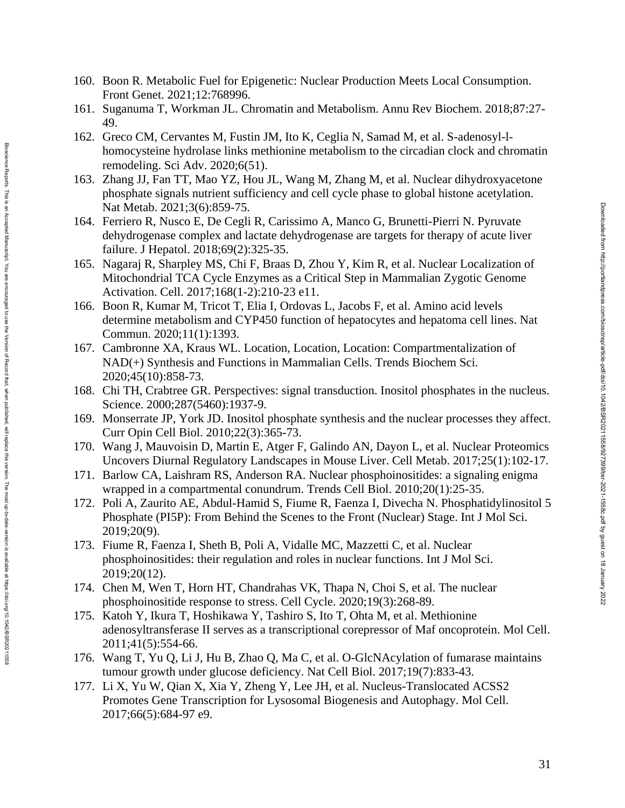- 160. Boon R. Metabolic Fuel for Epigenetic: Nuclear Production Meets Local Consumption. Front Genet. 2021;12:768996.
- 161. Suganuma T, Workman JL. Chromatin and Metabolism. Annu Rev Biochem. 2018;87:27 49.
- 162. Greco CM, Cervantes M, Fustin JM, Ito K, Ceglia N, Samad M, et al. S-adenosyl-lhomocysteine hydrolase links methionine metabolism to the circadian clock and chromatin remodeling. Sci Adv. 2020;6(51).
- 163. Zhang JJ, Fan TT, Mao YZ, Hou JL, Wang M, Zhang M, et al. Nuclear dihydroxyacetone phosphate signals nutrient sufficiency and cell cycle phase to global histone acetylation. Nat Metab. 2021;3(6):859 -75.
- 164. Ferriero R, Nusco E, De Cegli R, Carissimo A, Manco G, Brunetti -Pierri N. Pyruvate dehydrogenase complex and lactate dehydrogenase are targets for therapy of acute liver failure. J Hepatol. 2018;69(2):325-35.
- 165. Nagaraj R, Sharpley MS, Chi F, Braas D, Zhou Y, Kim R, et al. Nuclear Localization of Mitochondrial TCA Cycle Enzymes as a Critical Step in Mammalian Zygotic Genome Activation. Cell. 2017;168(1 -2):210 -23 e11.
- 166. Boon R, Kumar M, Tricot T, Elia I, Ordovas L, Jacobs F, et al. Amino acid levels determine metabolism and CYP450 function of hepatocytes and hepatoma cell lines. Nat Commun. 2020;11(1):1393.
- 167. Cambronne XA, Kraus WL. Location, Location, Location: Compartmentalization of NAD(+) Synthesis and Functions in Mammalian Cells. Trends Biochem Sci. 2020;45(10):858 -73.

Biosdence Reports. This is an Accepted Manuscript. You are encourated to use the Version of Record that, when published, will replace this version. The most up-to-date-version is available at https://doi.org/10.1042/BSR20 Bloscience Reports. This is an Accepted Manuscript. You are encouraged to use the Version of Persion of Record that, when published, will replace this version. The most up-to-date-version is available at https://doi.01/10.

- 168. Chi TH, Crabtree GR. Perspectives: signal transduction. Inositol phosphates in the nucleus. Science. 2000;287(5460):1937 -9.
- 169. Monserrate JP, York JD. Inositol phosphate synthesis and the nuclear processes they affect. Curr Opin Cell Biol. 2010;22(3):365 -73.
- 170. Wang J, Mauvoisin D, Martin E, Atger F, Galindo AN, Dayon L, et al. Nuclear Proteomics Uncovers Diurnal Regulatory Landscapes in Mouse Liver. Cell Metab. 2017;25(1):102 -17.
- 171. Barlow CA, Laishram RS, Anderson RA. Nuclear phosphoinositides: a signaling enigma wrapped in a compartmental conundrum. Trends Cell Biol. 2010;20(1):25 -35.
- 172. Poli A, Zaurito AE, Abdul -Hamid S, Fiume R, Faenza I, Divecha N. Phosphatidylinositol 5 Phosphate (PI5P): From Behind the Scenes to the Front (Nuclear) Stage. Int J Mol Sci. 2019;20(9).
- 173. Fiume R, Faenza I, Sheth B, Poli A, Vidalle MC, Mazzetti C, et al. Nuclear phosphoinositides: their regulation and roles in nuclear functions. Int J Mol Sci. 2019;20(12).
- 174. Chen M, Wen T, Horn HT, Chandrahas VK, Thapa N, Choi S, et al. The nuclear phosphoinositide response to stress. Cell Cycle. 2020;19(3):268 -89.
- 175. Katoh Y, Ikura T, Hoshikawa Y, Tashiro S, Ito T, Ohta M, et al. Methionine adenosyltransferase II serves as a transcriptional corepressor of Maf oncoprotein. Mol Cell. 2011;41(5):554 -66.
- 176. Wang T, Yu Q, Li J, Hu B, Zhao Q, Ma C, et al. O -GlcNAcylation of fumarase maintains tumour growth under glucose deficiency. Nat Cell Biol. 2017;19(7):833 -43.
- 177. Li X, Yu W, Qian X, Xia Y, Zheng Y, Lee JH, et al. Nucleus -Translocated ACSS2 Promotes Gene Transcription for Lysosomal Biogenesis and Autophagy. Mol Cell. 2017;66(5):684 -97 e9.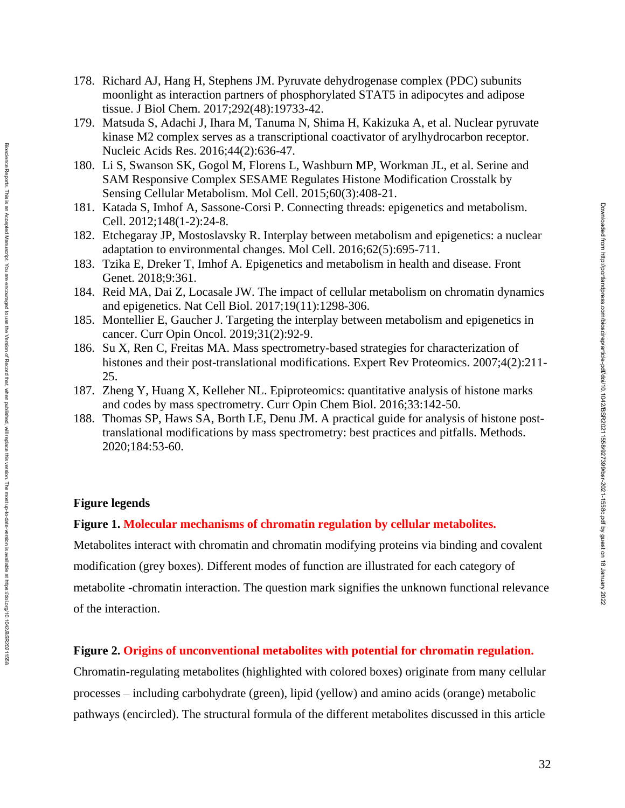- 178. Richard AJ, Hang H, Stephens JM. Pyruvate dehydrogenase complex (PDC) subunits moonlight as interaction partners of phosphorylated STAT5 in adipocytes and adipose tissue. J Biol Chem. 2017;292(48):19733-42.
- 179. Matsuda S, Adachi J, Ihara M, Tanuma N, Shima H, Kakizuka A, et al. Nuclear pyruvate kinase M2 complex serves as a transcriptional coactivator of arylhydrocarbon receptor. Nucleic Acids Res. 2016;44(2):636-47.
- 180. Li S, Swanson SK, Gogol M, Florens L, Washburn MP, Workman JL, et al. Serine and SAM Responsive Complex SESAME Regulates Histone Modification Crosstalk by Sensing Cellular Metabolism. Mol Cell. 2015;60(3):408-21.
- 181. Katada S, Imhof A, Sassone-Corsi P. Connecting threads: epigenetics and metabolism. Cell. 2012;148(1-2):24-8.
- 182. Etchegaray JP, Mostoslavsky R. Interplay between metabolism and epigenetics: a nuclear adaptation to environmental changes. Mol Cell. 2016;62(5):695-711.
- 183. Tzika E, Dreker T, Imhof A. Epigenetics and metabolism in health and disease. Front Genet. 2018;9:361.
- 184. Reid MA, Dai Z, Locasale JW. The impact of cellular metabolism on chromatin dynamics and epigenetics. Nat Cell Biol. 2017;19(11):1298-306.
- 185. Montellier E, Gaucher J. Targeting the interplay between metabolism and epigenetics in cancer. Curr Opin Oncol. 2019;31(2):92-9.
- 186. Su X, Ren C, Freitas MA. Mass spectrometry-based strategies for characterization of histones and their post-translational modifications. Expert Rev Proteomics. 2007;4(2):211- 25.
- 187. Zheng Y, Huang X, Kelleher NL. Epiproteomics: quantitative analysis of histone marks and codes by mass spectrometry. Curr Opin Chem Biol. 2016;33:142-50.
- 188. Thomas SP, Haws SA, Borth LE, Denu JM. A practical guide for analysis of histone posttranslational modifications by mass spectrometry: best practices and pitfalls. Methods. 2020;184:53-60.

## **Figure legends**

Bioscience Reports. This is an Accepted Manuscript. You are encourged to use the Version of Record that, when published, will replace this version. The most up-to-date-version is available at https://doi.org/10.1042/BSR202 Bloscience Reports. This is an Accepted Manuscript. You are encouraged to use the Version of Persion of Record that, when published, will replace this version. The most up-to-date-version is available at https://doi.01/10.

# **Figure 1. Molecular mechanisms of chromatin regulation by cellular metabolites.**

Metabolites interact with chromatin and chromatin modifying proteins via binding and covalent modification (grey boxes). Different modes of function are illustrated for each category of metabolite -chromatin interaction. The question mark signifies the unknown functional relevance of the interaction.

## **Figure 2. Origins of unconventional metabolites with potential for chromatin regulation.**

Chromatin-regulating metabolites (highlighted with colored boxes) originate from many cellular processes – including carbohydrate (green), lipid (yellow) and amino acids (orange) metabolic pathways (encircled). The structural formula of the different metabolites discussed in this article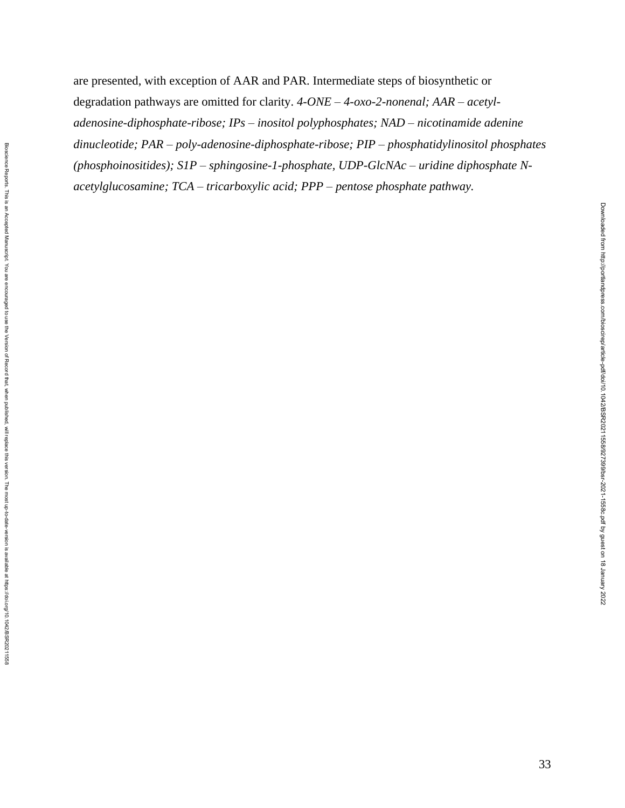are presented, with exception of AAR and PAR. Intermediate steps of biosynthetic or degradation pathways are omitted for clarity. *4-ONE – 4-oxo-2-nonenal; AAR – acetyladenosine-diphosphate-ribose; IPs – inositol polyphosphates; NAD – nicotinamide adenine dinucleotide; PAR – poly-adenosine-diphosphate-ribose; PIP – phosphatidylinositol phosphates (phosphoinositides); S1P – sphingosine-1-phosphate, UDP-GlcNAc – uridine diphosphate Nacetylglucosamine; TCA – tricarboxylic acid; PPP – pentose phosphate pathway.*

Downloaded from http://portlandpress.com/bioscirep/article-pdf/doi/10.1042/BSR20211558/927399/bsr-2021-1558c.pdf by guest on 18 January 2022

Downloaded from http://portlandpress.com/bioscireplarticle-pdf/doi/10.1042/BSR20211568827399/bsr-2021-1558c.pdf by guest on 18 January 2022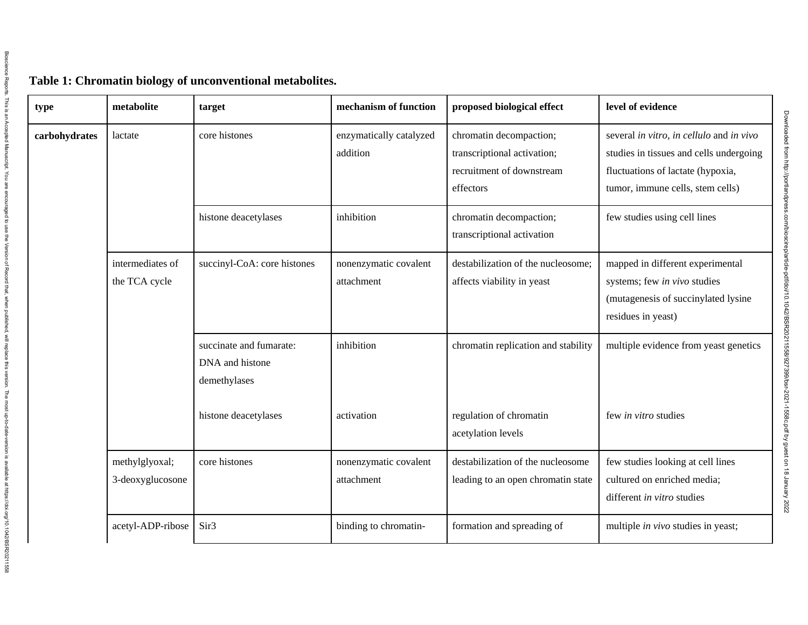| type          | metabolite                         | target                                                     | mechanism of function               | proposed biological effect                                                                       | level of evidence                                                                                                                                            |
|---------------|------------------------------------|------------------------------------------------------------|-------------------------------------|--------------------------------------------------------------------------------------------------|--------------------------------------------------------------------------------------------------------------------------------------------------------------|
| carbohydrates | lactate                            | core histones                                              | enzymatically catalyzed<br>addition | chromatin decompaction;<br>transcriptional activation;<br>recruitment of downstream<br>effectors | several in vitro, in cellulo and in vivo<br>studies in tissues and cells undergoing<br>fluctuations of lactate (hypoxia,<br>tumor, immune cells, stem cells) |
|               |                                    | histone deacetylases                                       | inhibition                          | chromatin decompaction;<br>transcriptional activation                                            | few studies using cell lines                                                                                                                                 |
|               | intermediates of<br>the TCA cycle  | succinyl-CoA: core histones                                | nonenzymatic covalent<br>attachment | destabilization of the nucleosome;<br>affects viability in yeast                                 | mapped in different experimental<br>systems; few in vivo studies<br>(mutagenesis of succinylated lysine<br>residues in yeast)                                |
|               |                                    | succinate and fumarate:<br>DNA and histone<br>demethylases | inhibition                          | chromatin replication and stability                                                              | multiple evidence from yeast genetics                                                                                                                        |
|               |                                    | histone deacetylases                                       | activation                          | regulation of chromatin<br>acetylation levels                                                    | few in vitro studies                                                                                                                                         |
|               | methylglyoxal;<br>3-deoxyglucosone | core histones                                              | nonenzymatic covalent<br>attachment | destabilization of the nucleosome<br>leading to an open chromatin state                          | few studies looking at cell lines<br>cultured on enriched media;<br>different in vitro studies                                                               |
|               | acetyl-ADP-ribose                  | Sir <sub>3</sub>                                           | binding to chromatin-               | formation and spreading of                                                                       | multiple <i>in vivo</i> studies in yeast;                                                                                                                    |

# **Table 1: Chromatin biology of unconventional metabolites.**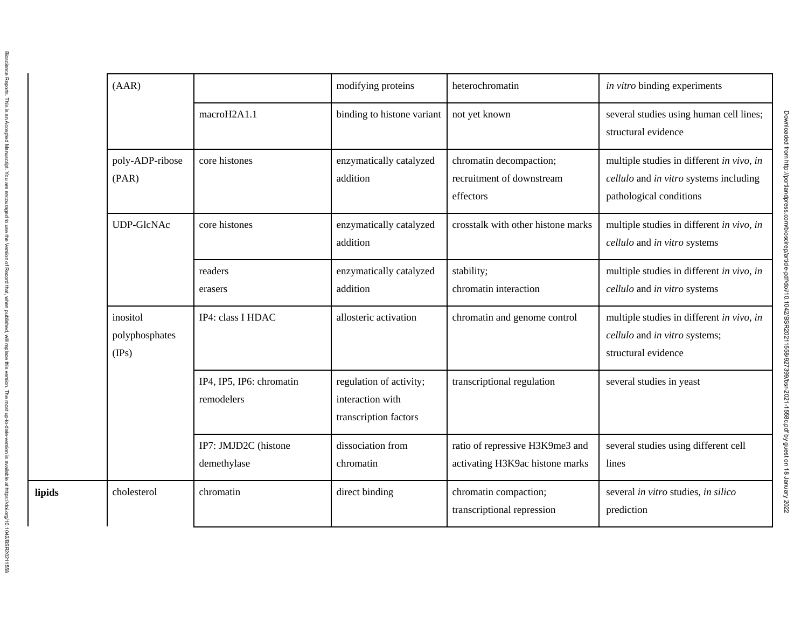|        | (AAR)                               |                                        | modifying proteins                                                   | heterochromatin                                                    | in vitro binding experiments                                                                                   |
|--------|-------------------------------------|----------------------------------------|----------------------------------------------------------------------|--------------------------------------------------------------------|----------------------------------------------------------------------------------------------------------------|
|        |                                     | macroH2A1.1                            | binding to histone variant                                           | not yet known                                                      | several studies using human cell lines;<br>structural evidence                                                 |
|        | poly-ADP-ribose<br>(PAR)            | core histones                          | enzymatically catalyzed<br>addition                                  | chromatin decompaction;<br>recruitment of downstream<br>effectors  | multiple studies in different in vivo, in<br>cellulo and in vitro systems including<br>pathological conditions |
|        | <b>UDP-GlcNAc</b>                   | core histones                          | enzymatically catalyzed<br>addition                                  | crosstalk with other histone marks                                 | multiple studies in different in vivo, in<br>cellulo and in vitro systems                                      |
|        |                                     | readers<br>erasers                     | enzymatically catalyzed<br>addition                                  | stability;<br>chromatin interaction                                | multiple studies in different in vivo, in<br>cellulo and in vitro systems                                      |
|        | inositol<br>polyphosphates<br>(IPs) | IP4: class I HDAC                      | allosteric activation                                                | chromatin and genome control                                       | multiple studies in different in vivo, in<br>cellulo and in vitro systems;<br>structural evidence              |
|        |                                     | IP4, IP5, IP6: chromatin<br>remodelers | regulation of activity;<br>interaction with<br>transcription factors | transcriptional regulation                                         | several studies in yeast                                                                                       |
|        |                                     | IP7: JMJD2C (histone<br>demethylase    | dissociation from<br>chromatin                                       | ratio of repressive H3K9me3 and<br>activating H3K9ac histone marks | several studies using different cell<br>lines                                                                  |
| lipids | cholesterol                         | chromatin                              | direct binding                                                       | chromatin compaction;<br>transcriptional repression                | several in vitro studies, in silico<br>prediction                                                              |
|        |                                     |                                        |                                                                      |                                                                    |                                                                                                                |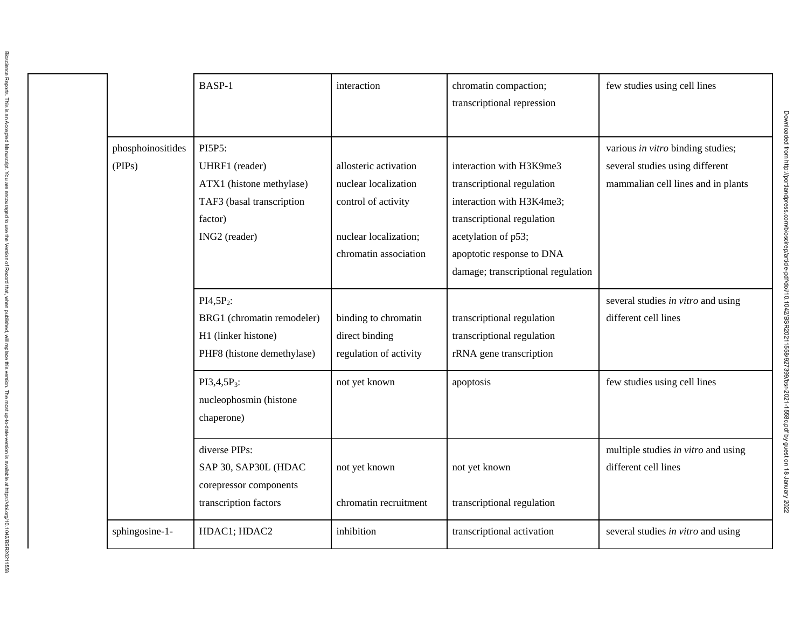|                             | BASP-1                                                                                                        | interaction                                                                                   | chromatin compaction;<br>transcriptional repression                                                                                      | few studies using cell lines                                                                               |
|-----------------------------|---------------------------------------------------------------------------------------------------------------|-----------------------------------------------------------------------------------------------|------------------------------------------------------------------------------------------------------------------------------------------|------------------------------------------------------------------------------------------------------------|
| phosphoinositides<br>(PIPs) | PI5P5:<br>UHRF1 (reader)<br>ATX1 (histone methylase)<br>TAF3 (basal transcription<br>factor)<br>ING2 (reader) | allosteric activation<br>nuclear localization<br>control of activity<br>nuclear localization; | interaction with H3K9me3<br>transcriptional regulation<br>interaction with H3K4me3;<br>transcriptional regulation<br>acetylation of p53; | various in vitro binding studies;<br>several studies using different<br>mammalian cell lines and in plants |
|                             |                                                                                                               | chromatin association                                                                         | apoptotic response to DNA<br>damage; transcriptional regulation                                                                          |                                                                                                            |
|                             | $PI4,5P_2$ :<br>BRG1 (chromatin remodeler)<br>H1 (linker histone)<br>PHF8 (histone demethylase)               | binding to chromatin<br>direct binding<br>regulation of activity                              | transcriptional regulation<br>transcriptional regulation<br>rRNA gene transcription                                                      | several studies in vitro and using<br>different cell lines                                                 |
|                             | $PI3,4,5P_3$ :<br>nucleophosmin (histone<br>chaperone)                                                        | not yet known                                                                                 | apoptosis                                                                                                                                | few studies using cell lines                                                                               |
|                             | diverse PIPs:<br>SAP 30, SAP30L (HDAC<br>corepressor components<br>transcription factors                      | not yet known<br>chromatin recruitment                                                        | not yet known<br>transcriptional regulation                                                                                              | multiple studies in vitro and using<br>different cell lines                                                |
| sphingosine-1-              | HDAC1; HDAC2                                                                                                  | inhibition                                                                                    | transcriptional activation                                                                                                               | several studies in vitro and using                                                                         |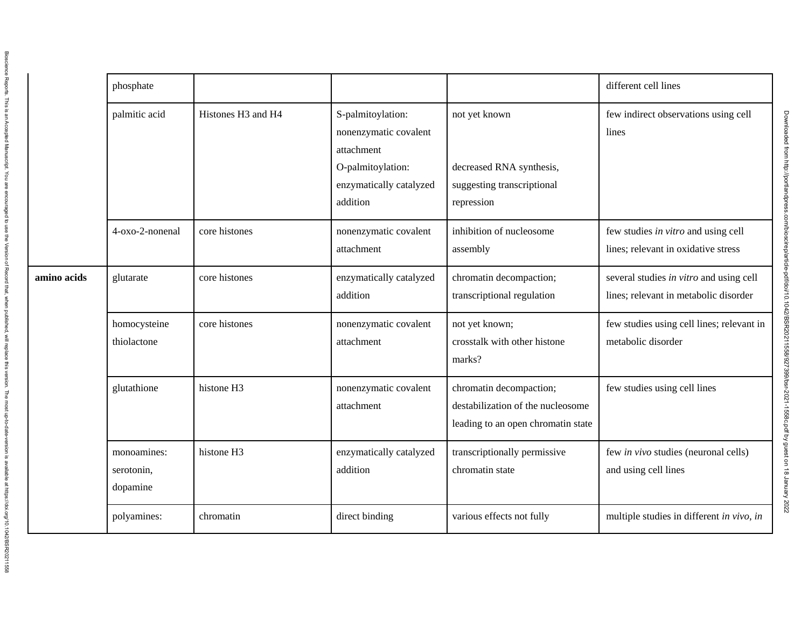|             | phosphate                             |                    |                                                                                                                      |                                                                                                    | different cell lines                                                             |
|-------------|---------------------------------------|--------------------|----------------------------------------------------------------------------------------------------------------------|----------------------------------------------------------------------------------------------------|----------------------------------------------------------------------------------|
|             | palmitic acid                         | Histones H3 and H4 | S-palmitoylation:<br>nonenzymatic covalent<br>attachment<br>O-palmitoylation:<br>enzymatically catalyzed<br>addition | not yet known<br>decreased RNA synthesis,<br>suggesting transcriptional<br>repression              | few indirect observations using cell<br>lines                                    |
|             | 4-oxo-2-nonenal                       | core histones      | nonenzymatic covalent<br>attachment                                                                                  | inhibition of nucleosome<br>assembly                                                               | few studies in vitro and using cell<br>lines; relevant in oxidative stress       |
| amino acids | glutarate                             | core histones      | enzymatically catalyzed<br>addition                                                                                  | chromatin decompaction;<br>transcriptional regulation                                              | several studies in vitro and using cell<br>lines; relevant in metabolic disorder |
|             | homocysteine<br>thiolactone           | core histones      | nonenzymatic covalent<br>attachment                                                                                  | not yet known;<br>crosstalk with other histone<br>marks?                                           | few studies using cell lines; relevant in<br>metabolic disorder                  |
|             | glutathione                           | histone H3         | nonenzymatic covalent<br>attachment                                                                                  | chromatin decompaction;<br>destabilization of the nucleosome<br>leading to an open chromatin state | few studies using cell lines                                                     |
|             | monoamines:<br>serotonin,<br>dopamine | histone H3         | enzymatically catalyzed<br>addition                                                                                  | transcriptionally permissive<br>chromatin state                                                    | few in vivo studies (neuronal cells)<br>and using cell lines                     |
|             | polyamines:                           | chromatin          | direct binding                                                                                                       | various effects not fully                                                                          | multiple studies in different in vivo, in                                        |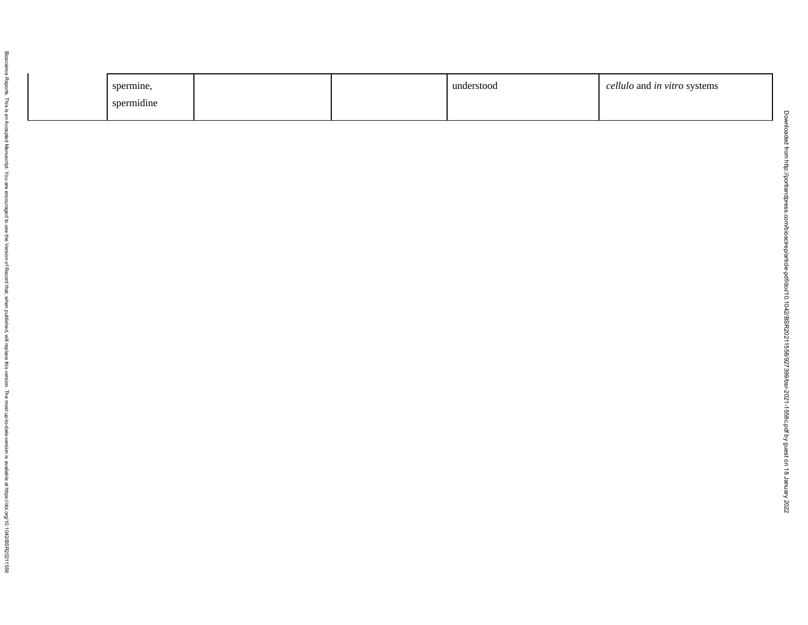| spermine,  |  | understood | cellulo and in vitro systems |
|------------|--|------------|------------------------------|
| spermidine |  |            |                              |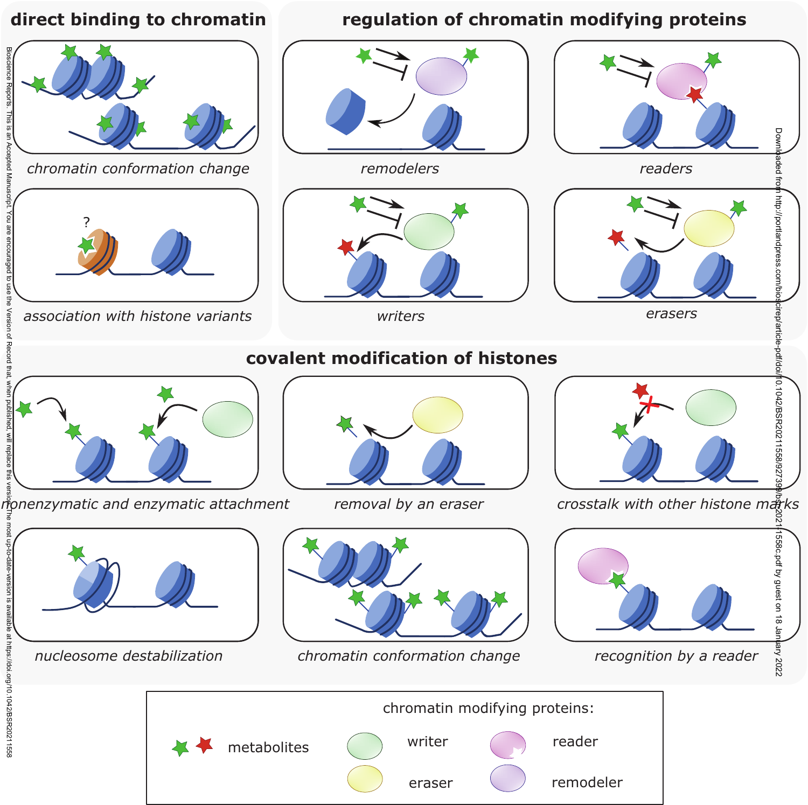